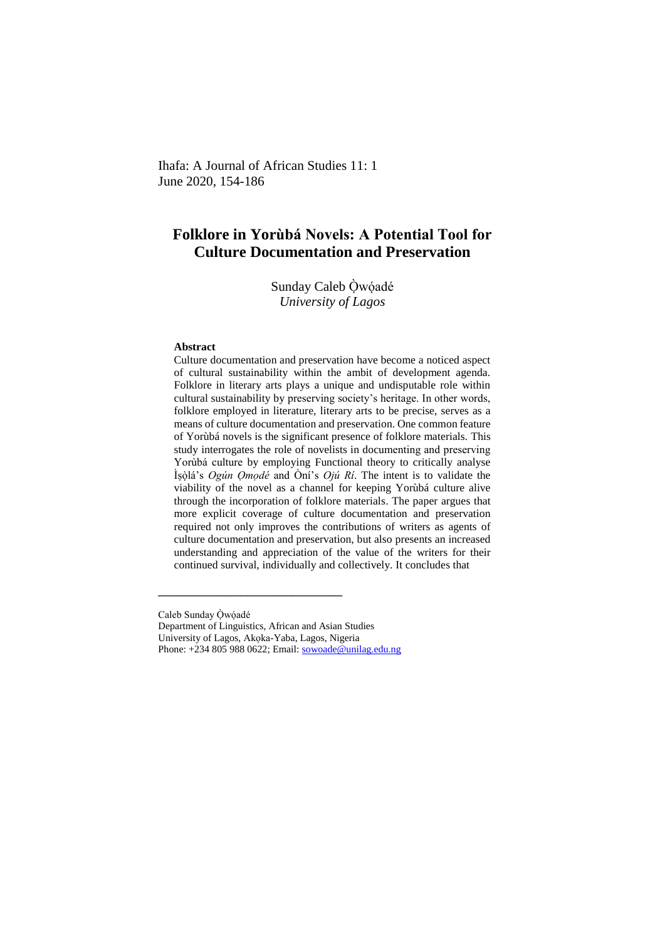Ihafa: A Journal of African Studies 11: 1 June 2020, 154-186

# **Folklore in Yorùbá Novels: A Potential Tool for Culture Documentation and Preservation**

Sunday Caleb Òwóadé *University of Lagos*

#### **Abstract**

Culture documentation and preservation have become a noticed aspect of cultural sustainability within the ambit of development agenda. Folklore in literary arts plays a unique and undisputable role within cultural sustainability by preserving society's heritage. In other words, folklore employed in literature, literary arts to be precise, serves as a means of culture documentation and preservation. One common feature of Yorùbá novels is the significant presence of folklore materials. This study interrogates the role of novelists in documenting and preserving Yorùbá culture by employing Functional theory to critically analyse Ìṣòḷá's *Ogún Ọmọdé* and Òní's *Ojú Rí*. The intent is to validate the viability of the novel as a channel for keeping Yorùbá culture alive through the incorporation of folklore materials. The paper argues that more explicit coverage of culture documentation and preservation required not only improves the contributions of writers as agents of culture documentation and preservation, but also presents an increased understanding and appreciation of the value of the writers for their continued survival, individually and collectively. It concludes that

Caleb Sunday Òwóadé

Department of Linguistics, African and Asian Studies

**\_\_\_\_\_\_\_\_\_\_\_\_\_\_\_\_\_\_\_\_\_\_\_\_\_\_\_\_\_\_\_\_\_** 

University of Lagos, Akọka-Yaba, Lagos, Nigeria

Phone: +234 805 988 0622; Email[: sowoade@unilag.edu.ng](mailto:sowoade@unilag.edu.ng)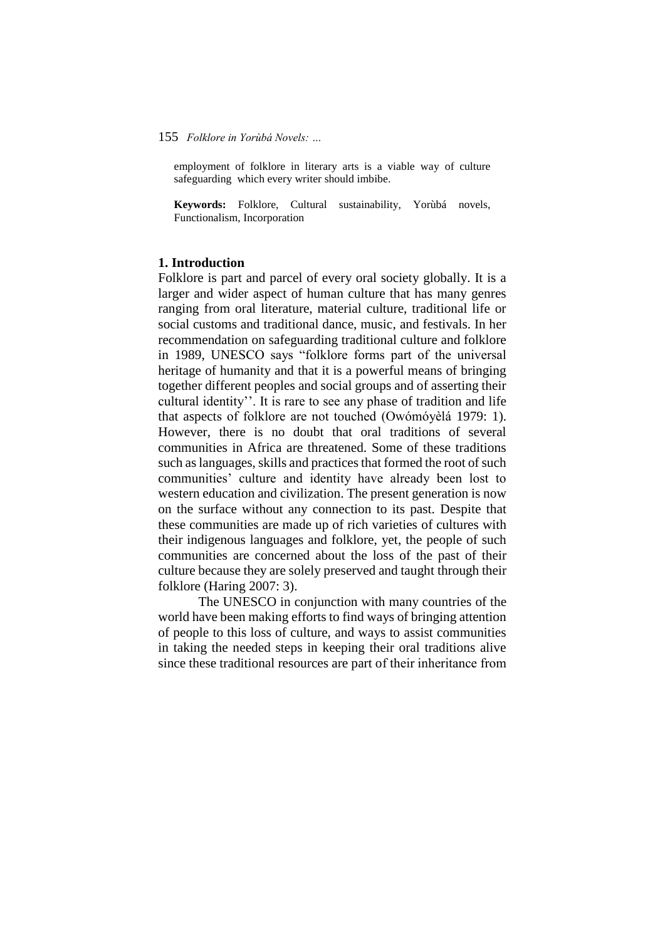employment of folklore in literary arts is a viable way of culture safeguarding which every writer should imbibe.

**Keywords:** Folklore, Cultural sustainability, Yorùbá novels, Functionalism, Incorporation

### **1. Introduction**

Folklore is part and parcel of every oral society globally. It is a larger and wider aspect of human culture that has many genres ranging from oral literature, material culture, traditional life or social customs and traditional dance, music, and festivals. In her recommendation on safeguarding traditional culture and folklore in 1989, UNESCO says "folklore forms part of the universal heritage of humanity and that it is a powerful means of bringing together different peoples and social groups and of asserting their cultural identity''. It is rare to see any phase of tradition and life that aspects of folklore are not touched (Owómóyèlá 1979: 1). However, there is no doubt that oral traditions of several communities in Africa are threatened. Some of these traditions such as languages, skills and practices that formed the root of such communities' culture and identity have already been lost to western education and civilization. The present generation is now on the surface without any connection to its past. Despite that these communities are made up of rich varieties of cultures with their indigenous languages and folklore, yet, the people of such communities are concerned about the loss of the past of their culture because they are solely preserved and taught through their folklore (Haring 2007: 3).

The UNESCO in conjunction with many countries of the world have been making efforts to find ways of bringing attention of people to this loss of culture, and ways to assist communities in taking the needed steps in keeping their oral traditions alive since these traditional resources are part of their inheritance from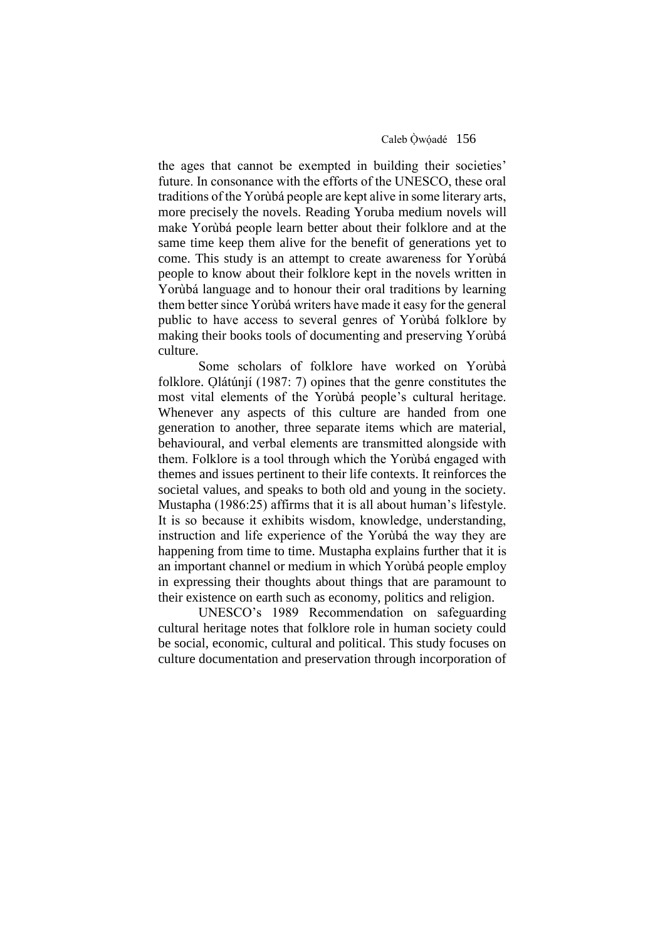the ages that cannot be exempted in building their societies' future. In consonance with the efforts of the UNESCO, these oral traditions of the Yorùbá people are kept alive in some literary arts, more precisely the novels. Reading Yoruba medium novels will make Yorùbá people learn better about their folklore and at the same time keep them alive for the benefit of generations yet to come. This study is an attempt to create awareness for Yorùbá people to know about their folklore kept in the novels written in Yorùbá language and to honour their oral traditions by learning them better since Yorùbá writers have made it easy for the general public to have access to several genres of Yorùbá folklore by making their books tools of documenting and preserving Yorùbá culture.

Some scholars of folklore have worked on Yorùba folklore. Olátúnjí (1987: 7) opines that the genre constitutes the most vital elements of the Yorùbá people's cultural heritage. Whenever any aspects of this culture are handed from one generation to another, three separate items which are material, behavioural, and verbal elements are transmitted alongside with them. Folklore is a tool through which the Yorùbá engaged with themes and issues pertinent to their life contexts. It reinforces the societal values, and speaks to both old and young in the society. Mustapha (1986:25) affirms that it is all about human's lifestyle. It is so because it exhibits wisdom, knowledge, understanding, instruction and life experience of the Yorùbá the way they are happening from time to time. Mustapha explains further that it is an important channel or medium in which Yorùbá people employ in expressing their thoughts about things that are paramount to their existence on earth such as economy, politics and religion.

 UNESCO's 1989 Recommendation on safeguarding cultural heritage notes that folklore role in human society could be social, economic, cultural and political. This study focuses on culture documentation and preservation through incorporation of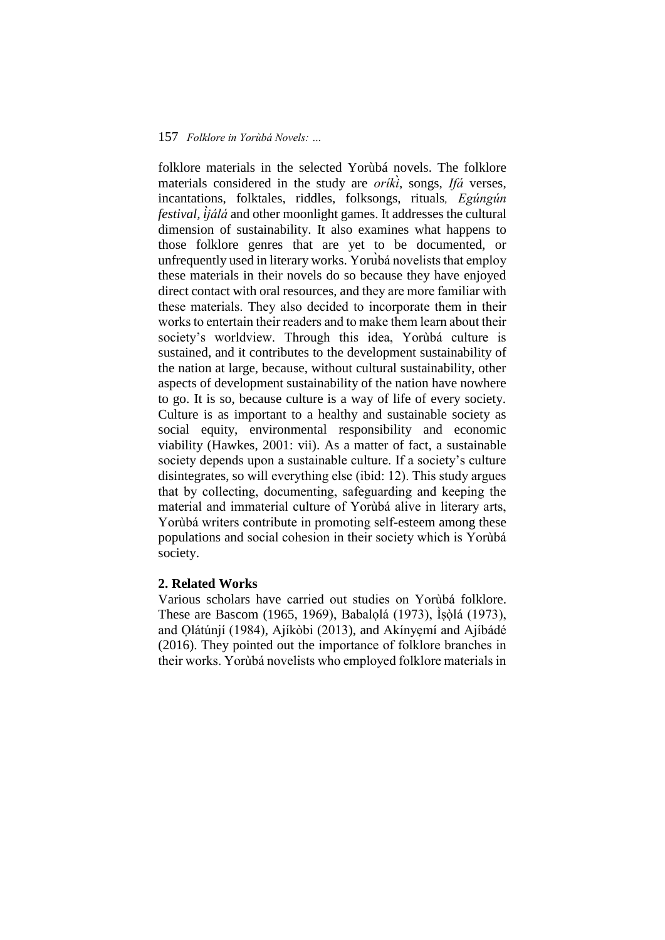folklore materials in the selected Yorùbá novels. The folklore materials considered in the study are *oríki*̀, songs, *Ifá* verses, incantations, folktales, riddles, folksongs, rituals*, Egúngún festival, ìjálá* and other moonlight games. It addresses the cultural dimension of sustainability. It also examines what happens to those folklore genres that are yet to be documented, or unfrequently used in literary works. Yorùbá novelists that employ these materials in their novels do so because they have enjoyed direct contact with oral resources, and they are more familiar with these materials. They also decided to incorporate them in their works to entertain their readers and to make them learn about their society's worldview. Through this idea, Yorùbá culture is sustained, and it contributes to the development sustainability of the nation at large, because, without cultural sustainability, other aspects of development sustainability of the nation have nowhere to go. It is so, because culture is a way of life of every society. Culture is as important to a healthy and sustainable society as social equity, environmental responsibility and economic viability (Hawkes, 2001: vii). As a matter of fact, a sustainable society depends upon a sustainable culture. If a society's culture disintegrates, so will everything else (ibid: 12). This study argues that by collecting, documenting, safeguarding and keeping the material and immaterial culture of Yorùbá alive in literary arts, Yorùbá writers contribute in promoting self-esteem among these populations and social cohesion in their society which is Yorùbá society.

# **2. Related Works**

Various scholars have carried out studies on Yorùbá folklore. These are Bascom (1965, 1969), Babalọlá (1973), Ìṣòḷá (1973), and Ọlátúnjí (1984), Ajíkòbi (2013), and Akínyẹmí and Ajíbádé (2016). They pointed out the importance of folklore branches in their works. Yorùbá novelists who employed folklore materials in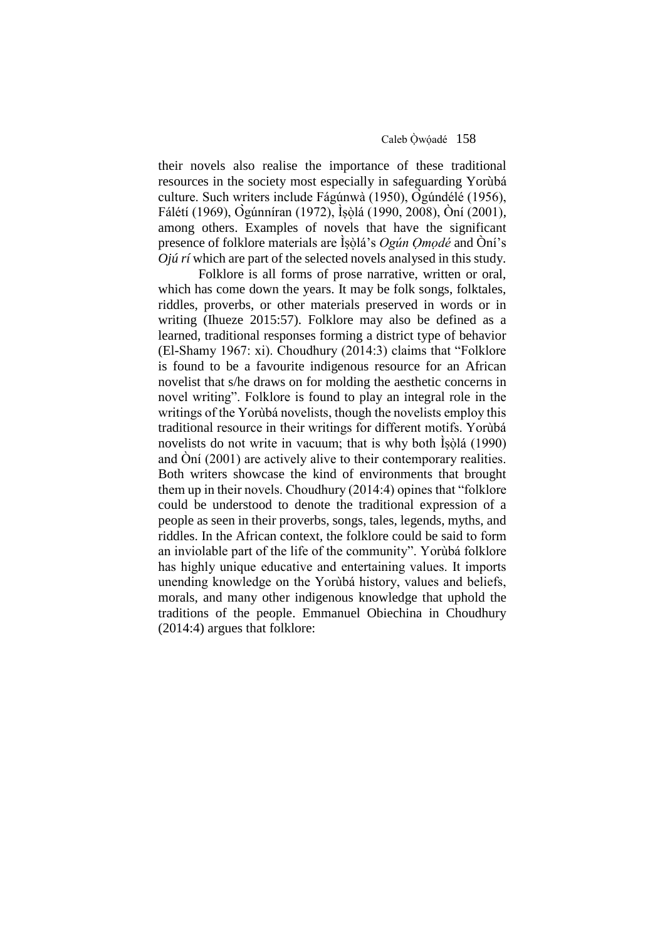their novels also realise the importance of these traditional resources in the society most especially in safeguarding Yorùbá culture. Such writers include Fágúnwà (1950), Ògúndélé (1956), Fálétí (1969), Ògúnníran (1972), Ìṣòḷá (1990, 2008), Òní (2001), among others. Examples of novels that have the significant presence of folklore materials are Ìṣòḷá's *Ogún Ọmọdé* and Òní's *Ojú rí* which are part of the selected novels analysed in this study*.*

Folklore is all forms of prose narrative, written or oral, which has come down the years. It may be folk songs, folktales, riddles, proverbs, or other materials preserved in words or in writing (Ihueze 2015:57). Folklore may also be defined as a learned, traditional responses forming a district type of behavior (El-Shamy 1967: xi). Choudhury (2014:3) claims that "Folklore is found to be a favourite indigenous resource for an African novelist that s/he draws on for molding the aesthetic concerns in novel writing". Folklore is found to play an integral role in the writings of the Yorùbá novelists, though the novelists employ this traditional resource in their writings for different motifs. Yorùbá novelists do not write in vacuum; that is why both Isola (1990) and Òní (2001) are actively alive to their contemporary realities. Both writers showcase the kind of environments that brought them up in their novels. Choudhury (2014:4) opines that "folklore could be understood to denote the traditional expression of a people as seen in their proverbs, songs, tales, legends, myths, and riddles. In the African context, the folklore could be said to form an inviolable part of the life of the community". Yorùbá folklore has highly unique educative and entertaining values. It imports unending knowledge on the Yorùbá history, values and beliefs, morals, and many other indigenous knowledge that uphold the traditions of the people. Emmanuel Obiechina in Choudhury (2014:4) argues that folklore: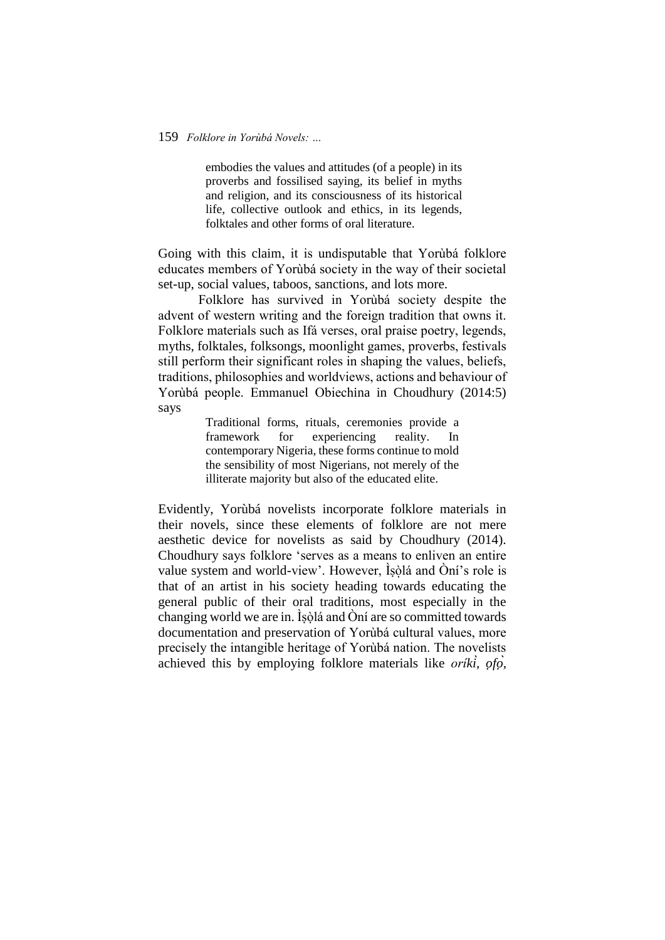embodies the values and attitudes (of a people) in its proverbs and fossilised saying, its belief in myths and religion, and its consciousness of its historical life, collective outlook and ethics, in its legends, folktales and other forms of oral literature.

Going with this claim, it is undisputable that Yorùbá folklore educates members of Yorùbá society in the way of their societal set-up, social values, taboos, sanctions, and lots more.

Folklore has survived in Yorùbá society despite the advent of western writing and the foreign tradition that owns it. Folklore materials such as Ifá verses, oral praise poetry, legends, myths, folktales, folksongs, moonlight games, proverbs, festivals still perform their significant roles in shaping the values, beliefs, traditions, philosophies and worldviews, actions and behaviour of Yorùbá people. Emmanuel Obiechina in Choudhury (2014:5) says

> Traditional forms, rituals, ceremonies provide a framework for experiencing reality. In contemporary Nigeria, these forms continue to mold the sensibility of most Nigerians, not merely of the illiterate majority but also of the educated elite.

Evidently, Yorùbá novelists incorporate folklore materials in their novels, since these elements of folklore are not mere aesthetic device for novelists as said by Choudhury (2014). Choudhury says folklore 'serves as a means to enliven an entire value system and world-view'. However, Ìṣòḷá and Òní's role is that of an artist in his society heading towards educating the general public of their oral traditions, most especially in the changing world we are in. Isòlá and  $\hat{O}$ ní are so committed towards documentation and preservation of Yorùbá cultural values, more precisely the intangible heritage of Yorùbá nation. The novelists achieved this by employing folklore materials like *oríkì, ọfọ̀,*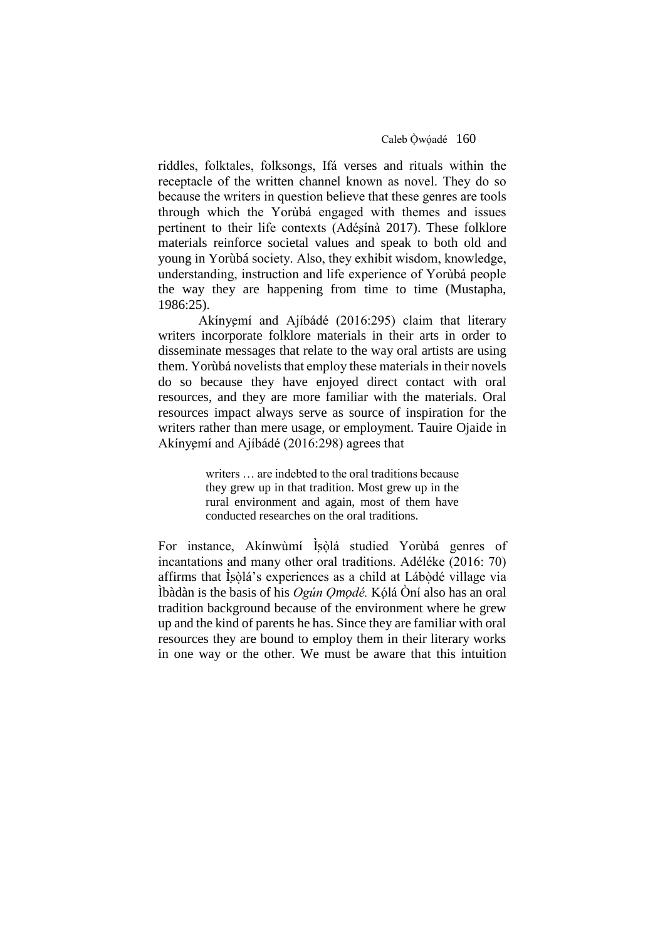riddles, folktales, folksongs, Ifá verses and rituals within the receptacle of the written channel known as novel. They do so because the writers in question believe that these genres are tools through which the Yorùbá engaged with themes and issues pertinent to their life contexts (Adésínà 2017). These folklore materials reinforce societal values and speak to both old and young in Yorùbá society. Also, they exhibit wisdom, knowledge, understanding, instruction and life experience of Yorùbá people the way they are happening from time to time (Mustapha, 1986:25).

Akínyemí and Ajíbádé (2016:295) claim that literary writers incorporate folklore materials in their arts in order to disseminate messages that relate to the way oral artists are using them. Yorùbá novelists that employ these materials in their novels do so because they have enjoyed direct contact with oral resources, and they are more familiar with the materials. Oral resources impact always serve as source of inspiration for the writers rather than mere usage, or employment. Tauire Ojaide in Akínyemí and Ajíbádé (2016:298) agrees that

> writers … are indebted to the oral traditions because they grew up in that tradition. Most grew up in the rural environment and again, most of them have conducted researches on the oral traditions.

For instance, Akínwùmí Isòlá studied Yorùbá genres of incantations and many other oral traditions. Adéléke (2016: 70) affirms that Isòlá's experiences as a child at Lábòdé village via Ìbàdàn is the basis of his *Ogún Ọmọdé.* Kọ́lá Òní also has an oral tradition background because of the environment where he grew up and the kind of parents he has. Since they are familiar with oral resources they are bound to employ them in their literary works in one way or the other. We must be aware that this intuition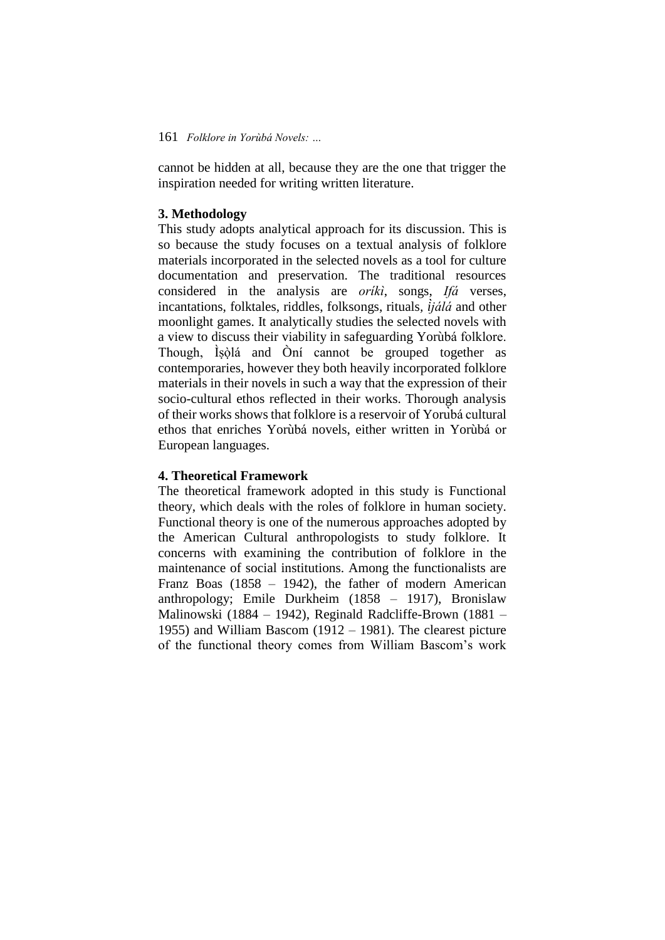cannot be hidden at all, because they are the one that trigger the inspiration needed for writing written literature.

# **3. Methodology**

This study adopts analytical approach for its discussion. This is so because the study focuses on a textual analysis of folklore materials incorporated in the selected novels as a tool for culture documentation and preservation. The traditional resources considered in the analysis are *oríkì*, songs, *Ifá* verses, incantations, folktales, riddles, folksongs, rituals*, ìjálá* and other moonlight games. It analytically studies the selected novels with a view to discuss their viability in safeguarding Yorùbá folklore. Though, Ìṣòḷá and Òní cannot be grouped together as contemporaries, however they both heavily incorporated folklore materials in their novels in such a way that the expression of their socio-cultural ethos reflected in their works. Thorough analysis of their works shows that folklore is a reservoir of Yorùbá cultural ethos that enriches Yorùbá novels, either written in Yorùbá or European languages.

### **4. Theoretical Framework**

The theoretical framework adopted in this study is Functional theory, which deals with the roles of folklore in human society. Functional theory is one of the numerous approaches adopted by the American Cultural anthropologists to study folklore. It concerns with examining the contribution of folklore in the maintenance of social institutions. Among the functionalists are Franz Boas (1858 – 1942), the father of modern American anthropology; Emile Durkheim (1858 – 1917), Bronislaw Malinowski (1884 – 1942), Reginald Radcliffe-Brown (1881 – 1955) and William Bascom (1912 – 1981). The clearest picture of the functional theory comes from William Bascom's work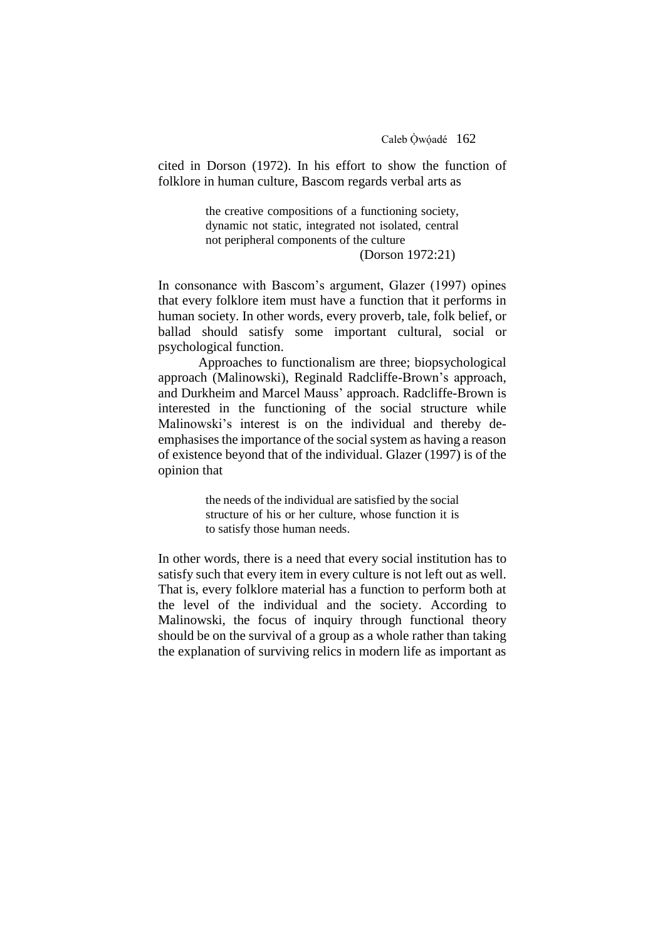cited in Dorson (1972). In his effort to show the function of folklore in human culture, Bascom regards verbal arts as

> the creative compositions of a functioning society, dynamic not static, integrated not isolated, central not peripheral components of the culture

(Dorson 1972:21)

In consonance with Bascom's argument, Glazer (1997) opines that every folklore item must have a function that it performs in human society. In other words, every proverb, tale, folk belief, or ballad should satisfy some important cultural, social or psychological function.

Approaches to functionalism are three; biopsychological approach (Malinowski), Reginald Radcliffe-Brown's approach, and Durkheim and Marcel Mauss' approach. Radcliffe-Brown is interested in the functioning of the social structure while Malinowski's interest is on the individual and thereby deemphasises the importance of the social system as having a reason of existence beyond that of the individual. Glazer (1997) is of the opinion that

> the needs of the individual are satisfied by the social structure of his or her culture, whose function it is to satisfy those human needs.

In other words, there is a need that every social institution has to satisfy such that every item in every culture is not left out as well. That is, every folklore material has a function to perform both at the level of the individual and the society. According to Malinowski, the focus of inquiry through functional theory should be on the survival of a group as a whole rather than taking the explanation of surviving relics in modern life as important as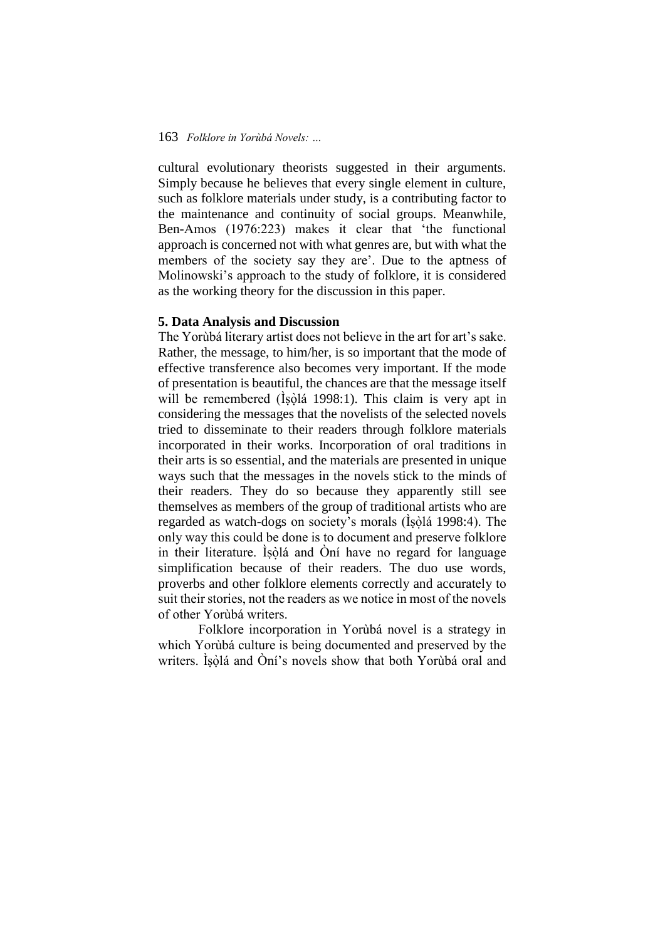cultural evolutionary theorists suggested in their arguments. Simply because he believes that every single element in culture, such as folklore materials under study, is a contributing factor to the maintenance and continuity of social groups. Meanwhile, Ben-Amos (1976:223) makes it clear that 'the functional approach is concerned not with what genres are, but with what the members of the society say they are'. Due to the aptness of Molinowski's approach to the study of folklore, it is considered as the working theory for the discussion in this paper.

### **5. Data Analysis and Discussion**

The Yorùbá literary artist does not believe in the art for art's sake. Rather, the message, to him/her, is so important that the mode of effective transference also becomes very important. If the mode of presentation is beautiful, the chances are that the message itself will be remembered (İşòlá 1998:1). This claim is very apt in considering the messages that the novelists of the selected novels tried to disseminate to their readers through folklore materials incorporated in their works. Incorporation of oral traditions in their arts is so essential, and the materials are presented in unique ways such that the messages in the novels stick to the minds of their readers. They do so because they apparently still see themselves as members of the group of traditional artists who are regarded as watch-dogs on society's morals (İşòlá 1998:4). The only way this could be done is to document and preserve folklore in their literature. Isòlá and Oní have no regard for language simplification because of their readers. The duo use words, proverbs and other folklore elements correctly and accurately to suit their stories, not the readers as we notice in most of the novels of other Yorùbá writers.

Folklore incorporation in Yorùbá novel is a strategy in which Yorùbá culture is being documented and preserved by the writers. Ìṣòlá and Òní's novels show that both Yorùbá oral and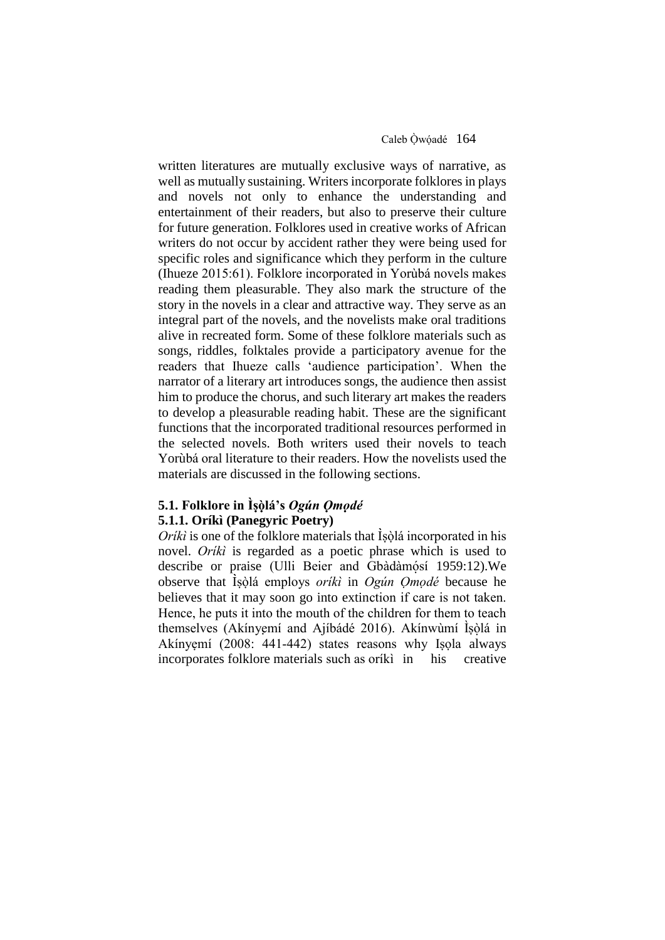written literatures are mutually exclusive ways of narrative, as well as mutually sustaining. Writers incorporate folklores in plays and novels not only to enhance the understanding and entertainment of their readers, but also to preserve their culture for future generation. Folklores used in creative works of African writers do not occur by accident rather they were being used for specific roles and significance which they perform in the culture (Ihueze 2015:61). Folklore incorporated in Yorùbá novels makes reading them pleasurable. They also mark the structure of the story in the novels in a clear and attractive way. They serve as an integral part of the novels, and the novelists make oral traditions alive in recreated form. Some of these folklore materials such as songs, riddles, folktales provide a participatory avenue for the readers that Ihueze calls 'audience participation'. When the narrator of a literary art introduces songs, the audience then assist him to produce the chorus, and such literary art makes the readers to develop a pleasurable reading habit. These are the significant functions that the incorporated traditional resources performed in the selected novels. Both writers used their novels to teach Yorùbá oral literature to their readers. How the novelists used the materials are discussed in the following sections.

# **5.1. Folklore in Ìṣòḷá's** *Ogún Ọmọdé* **5.1.1. Oríkì (Panegyric Poetry)**

*Oríkì* is one of the folklore materials that Isòlá incorporated in his novel. *Oríkì* is regarded as a poetic phrase which is used to describe or praise (Ulli Beier and Gbàdàmósí 1959:12). We observe that Ìṣòlá employs ̣ *oríkì* in *Ogún Ọmọdé* because he believes that it may soon go into extinction if care is not taken. Hence, he puts it into the mouth of the children for them to teach themselves (Akínyẹmí and Ajíbádé 2016). Akínwùmí Ìṣòḷá in Akínyẹmí (2008: 441-442) states reasons why Iṣọla always incorporates folklore materials such as oríkì in his creative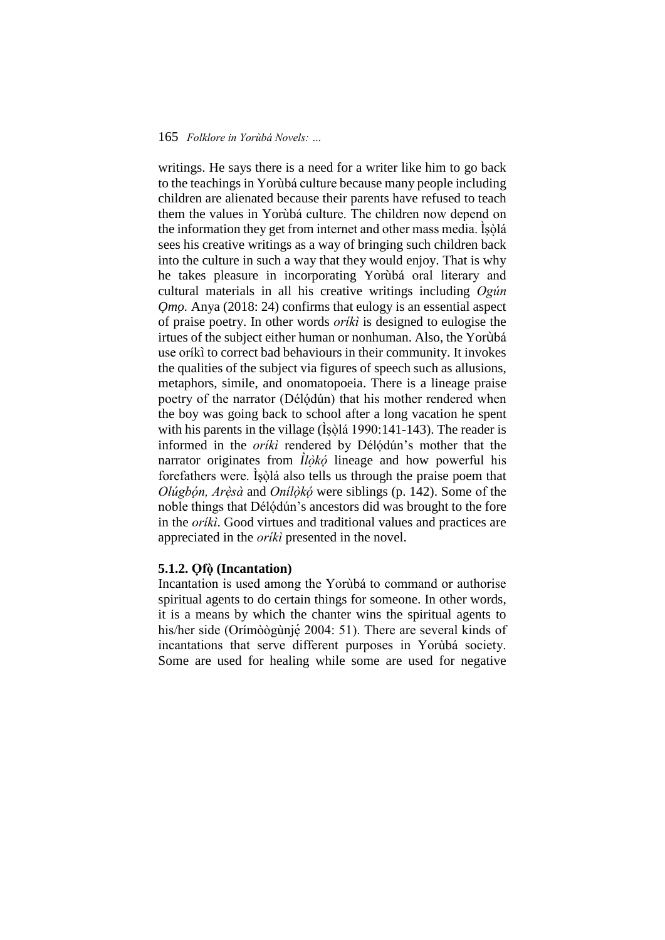writings. He says there is a need for a writer like him to go back to the teachings in Yorùbá culture because many people including children are alienated because their parents have refused to teach them the values in Yorùbá culture. The children now depend on the information they get from internet and other mass media. Isòlá sees his creative writings as a way of bringing such children back into the culture in such a way that they would enjoy. That is why he takes pleasure in incorporating Yorùbá oral literary and cultural materials in all his creative writings including *Ogún Omo*. Anya (2018: 24) confirms that eulogy is an essential aspect of praise poetry. In other words *oríkì* is designed to eulogise the irtues of the subject either human or nonhuman. Also, the Yorùbá use oríkì to correct bad behaviours in their community. It invokes the qualities of the subject via figures of speech such as allusions, metaphors, simile, and onomatopoeia. There is a lineage praise poetry of the narrator (Délódún) that his mother rendered when the boy was going back to school after a long vacation he spent with his parents in the village  $(\dot{\text{ls}}\dot{\text{ol}}\dot{\text{a}}\ 1990:141-143)$ . The reader is informed in the *orikì* rendered by Délódún's mother that the narrator originates from  $\hat{I}$ *<i>l*òkó lineage and how powerful his forefathers were. Ìṣòḷá also tells us through the praise poem that *Olúgbọ́n, Arèṣ à* and *Onílòkọ́ ̣* were siblings (p. 142). Some of the noble things that Délódún's ancestors did was brought to the fore in the *oríkì*. Good virtues and traditional values and practices are appreciated in the *oríkì* presented in the novel.

# **5.1.2. Ọfò ̣(Incantation)**

Incantation is used among the Yorùbá to command or authorise spiritual agents to do certain things for someone. In other words, it is a means by which the chanter wins the spiritual agents to his/her side (Orímòògùnjé 2004: 51). There are several kinds of incantations that serve different purposes in Yorùbá society. Some are used for healing while some are used for negative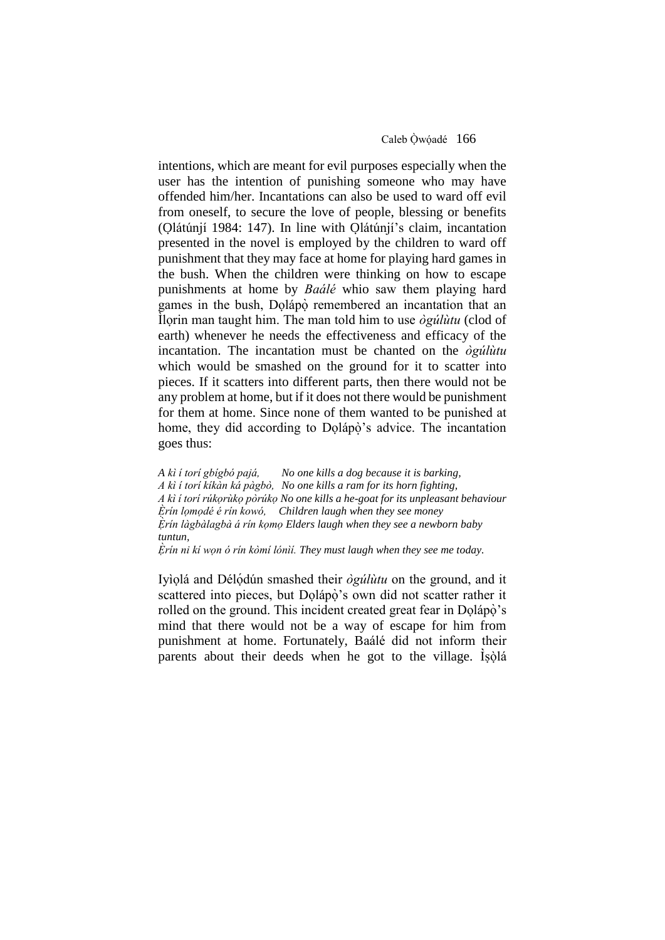Caleb Òwóadé 166

intentions, which are meant for evil purposes especially when the user has the intention of punishing someone who may have offended him/her. Incantations can also be used to ward off evil from oneself, to secure the love of people, blessing or benefits (Ọlátúnjí 1984: 147). In line with Ọlátúnjí's claim, incantation presented in the novel is employed by the children to ward off punishment that they may face at home for playing hard games in the bush. When the children were thinking on how to escape punishments at home by *Baálé* whio saw them playing hard games in the bush, Dolápò remembered an incantation that an Ìlọrin man taught him. The man told him to use *ògúlùtu* (clod of earth) whenever he needs the effectiveness and efficacy of the incantation. The incantation must be chanted on the *ògúlùtu* which would be smashed on the ground for it to scatter into pieces. If it scatters into different parts, then there would not be any problem at home, but if it does not there would be punishment for them at home. Since none of them wanted to be punished at home, they did according to Dolápo's advice. The incantation goes thus:

*A kì í torí gbígbó pajá, No one kills a dog because it is barking, A kì í torí kíkàn ká pàgbò, No one kills a ram for its horn fighting, A kì í torí rúkọrùkọ pòrúkọ No one kills a he-goat for its unpleasant behaviour E rín lọmọdé é rín kowó, ̣ Children laugh when they see money E ṛ ín làgbàlagbà á rín kọmọ Elders laugh when they see a newborn baby tuntun, E ṛ ín ni kí wọn ó rín kòmí lónìí. They must laugh when they see me today.*

Iyìọlá and Délọ́dún smashed their *ògúlùtu* on the ground, and it scattered into pieces, but Dolápo's own did not scatter rather it rolled on the ground. This incident created great fear in Dolápo's mind that there would not be a way of escape for him from punishment at home. Fortunately, Baálé did not inform their parents about their deeds when he got to the village. Isola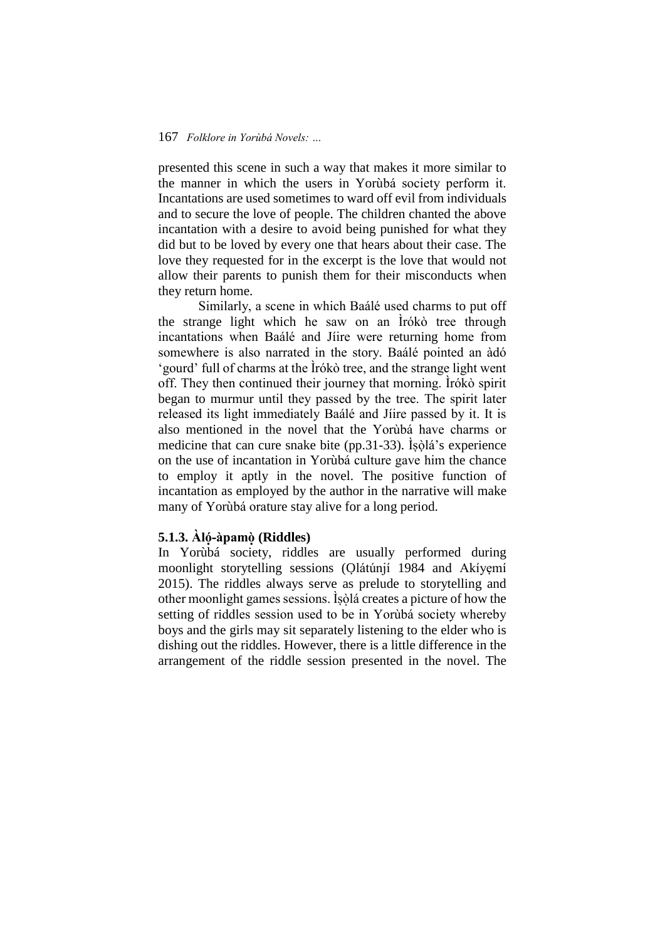presented this scene in such a way that makes it more similar to the manner in which the users in Yorùbá society perform it. Incantations are used sometimes to ward off evil from individuals and to secure the love of people. The children chanted the above incantation with a desire to avoid being punished for what they did but to be loved by every one that hears about their case. The love they requested for in the excerpt is the love that would not allow their parents to punish them for their misconducts when they return home.

Similarly, a scene in which Baálé used charms to put off the strange light which he saw on an Ìrókò tree through incantations when Baálé and Jíire were returning home from somewhere is also narrated in the story. Baálé pointed an àdó 'gourd' full of charms at the Ìrókò tree, and the strange light went off. They then continued their journey that morning. Ìrókò spirit began to murmur until they passed by the tree. The spirit later released its light immediately Baálé and Jíire passed by it. It is also mentioned in the novel that the Yorùbá have charms or medicine that can cure snake bite (pp.31-33). Ìṣòḷá's experience on the use of incantation in Yorùbá culture gave him the chance to employ it aptly in the novel. The positive function of incantation as employed by the author in the narrative will make many of Yorùbá orature stay alive for a long period.

### **5.1.3. Àló-̣àpamò ̣(Riddles)**

In Yorùbá society, riddles are usually performed during moonlight storytelling sessions (Olátúnjí 1984 and Akíyemí 2015). The riddles always serve as prelude to storytelling and other moonlight games sessions. Ìṣòḷá creates a picture of how the setting of riddles session used to be in Yorùbá society whereby boys and the girls may sit separately listening to the elder who is dishing out the riddles. However, there is a little difference in the arrangement of the riddle session presented in the novel. The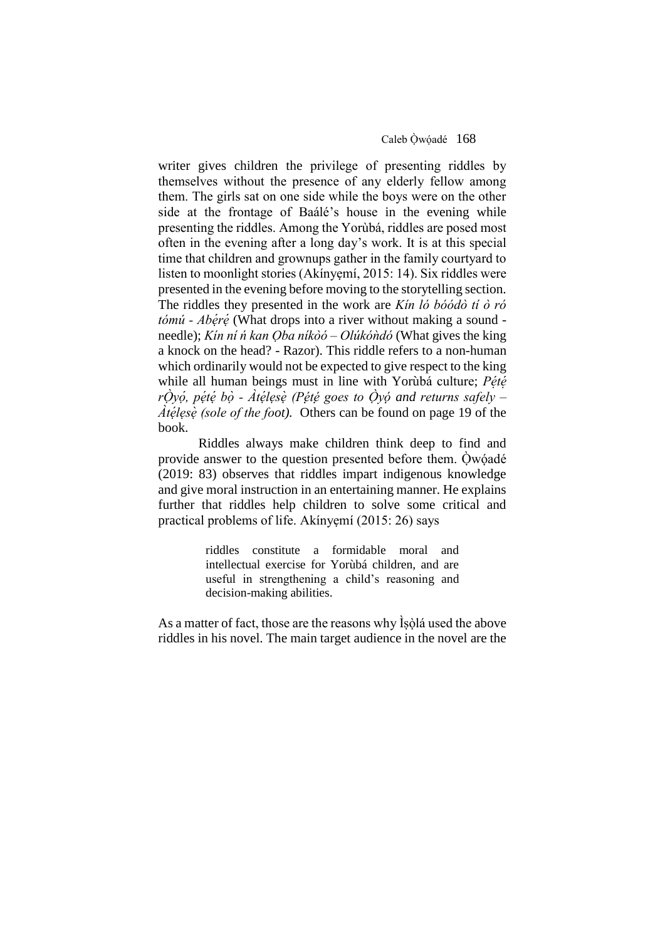Caleb Òwóadé 168

writer gives children the privilege of presenting riddles by themselves without the presence of any elderly fellow among them. The girls sat on one side while the boys were on the other side at the frontage of Baálé's house in the evening while presenting the riddles. Among the Yorùbá, riddles are posed most often in the evening after a long day's work. It is at this special time that children and grownups gather in the family courtyard to listen to moonlight stories (Akínyẹmí, 2015: 14). Six riddles were presented in the evening before moving to the storytelling section. The riddles they presented in the work are *Kín ló bóódò tí ò ró tómú - Abéré* (What drops into a river without making a sound needle); *Kín ní ń kan Ọba níkòó – Olúkóǹdó* (What gives the king a knock on the head? - Razor). This riddle refers to a non-human which ordinarily would not be expected to give respect to the king while all human beings must in line with Yorùbá culture; Pété *rO ̣yo ,̣ pe ṭe ̣bo ̣ - Àte ḷẹse ̣(Pẹ́tẹ́ goes to Ọ̀yọ́ and returns safely – Àte ḷẹse ̣(sole of the foot).* Others can be found on page 19 of the book.

Riddles always make children think deep to find and provide answer to the question presented before them. Òwo adé (2019: 83) observes that riddles impart indigenous knowledge and give moral instruction in an entertaining manner. He explains further that riddles help children to solve some critical and practical problems of life. Akínyẹmí (2015: 26) says

> riddles constitute a formidable moral and intellectual exercise for Yorùbá children, and are useful in strengthening a child's reasoning and decision-making abilities.

As a matter of fact, those are the reasons why Isola used the above riddles in his novel. The main target audience in the novel are the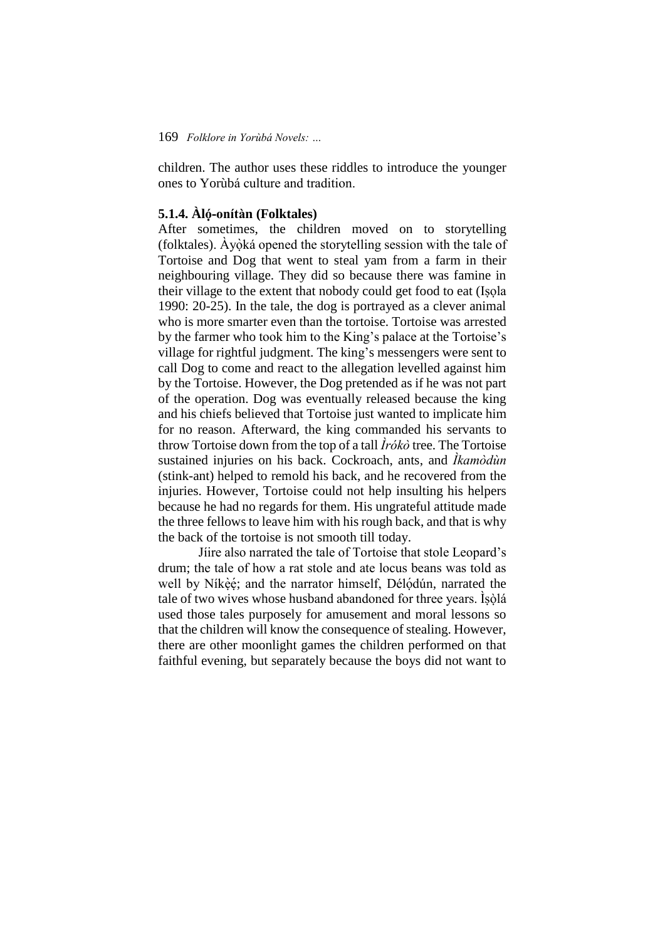children. The author uses these riddles to introduce the younger ones to Yorùbá culture and tradition.

# **5.1.4. Àló-onítàn (Folktales)**

After sometimes, the children moved on to storytelling (folktales). Ayoká opened the storytelling session with the tale of Tortoise and Dog that went to steal yam from a farm in their neighbouring village. They did so because there was famine in their village to the extent that nobody could get food to eat (Isola 1990: 20-25). In the tale, the dog is portrayed as a clever animal who is more smarter even than the tortoise. Tortoise was arrested by the farmer who took him to the King's palace at the Tortoise's village for rightful judgment. The king's messengers were sent to call Dog to come and react to the allegation levelled against him by the Tortoise. However, the Dog pretended as if he was not part of the operation. Dog was eventually released because the king and his chiefs believed that Tortoise just wanted to implicate him for no reason. Afterward, the king commanded his servants to throw Tortoise down from the top of a tall *Ìrókò* tree. The Tortoise sustained injuries on his back. Cockroach, ants, and *Ìkamòdùn* (stink-ant) helped to remold his back, and he recovered from the injuries. However, Tortoise could not help insulting his helpers because he had no regards for them. His ungrateful attitude made the three fellows to leave him with his rough back, and that is why the back of the tortoise is not smooth till today.

Jíire also narrated the tale of Tortoise that stole Leopard's drum; the tale of how a rat stole and ate locus beans was told as well by Níkèé; and the narrator himself, Délódún, narrated the ̣́ tale of two wives whose husband abandoned for three years. Ìṣòḷá used those tales purposely for amusement and moral lessons so that the children will know the consequence of stealing. However, there are other moonlight games the children performed on that faithful evening, but separately because the boys did not want to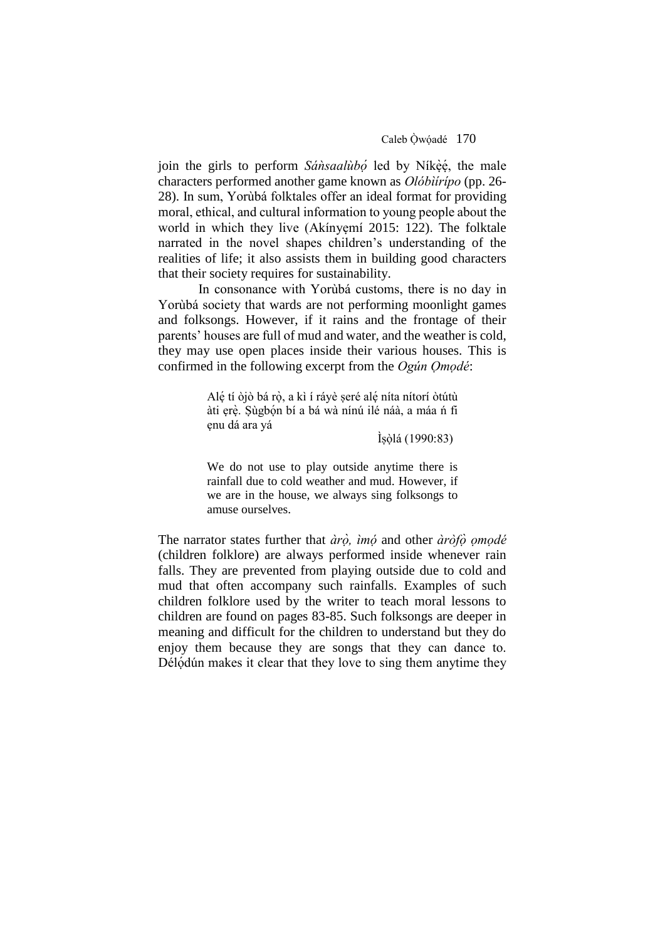Caleb Òwóadé 170

join the girls to perform *Sánsaalùbó* led by Níkèé, the male ̣́ characters performed another game known as *Olóbìírípo* (pp. 26- 28). In sum, Yorùbá folktales offer an ideal format for providing moral, ethical, and cultural information to young people about the world in which they live (Akínyemí 2015: 122). The folktale narrated in the novel shapes children's understanding of the realities of life; it also assists them in building good characters that their society requires for sustainability.

In consonance with Yorùbá customs, there is no day in Yorùbá society that wards are not performing moonlight games and folksongs. However, if it rains and the frontage of their parents' houses are full of mud and water, and the weather is cold, they may use open places inside their various houses. This is confirmed in the following excerpt from the *Ogún Ọmọdé*:

> Alẹ́ tí òjò bá rò, a kì í ráyè seré alẹ́ níta nítorí òtútù àti ẹrẹ̀. Sùgbọ́n bí a bá wà nínú ilé náà, a máa ń fi ẹnu dá ara yá

> > Ìṣòḷá (1990:83)

We do not use to play outside anytime there is rainfall due to cold weather and mud. However, if we are in the house, we always sing folksongs to amuse ourselves.

The narrator states further that  $\partial \vec{r}$ , *imo* and other  $\partial \vec{r}$  *omodé* (children folklore) are always performed inside whenever rain falls. They are prevented from playing outside due to cold and mud that often accompany such rainfalls. Examples of such children folklore used by the writer to teach moral lessons to children are found on pages 83-85. Such folksongs are deeper in meaning and difficult for the children to understand but they do enjoy them because they are songs that they can dance to. Délódún makes it clear that they love to sing them anytime they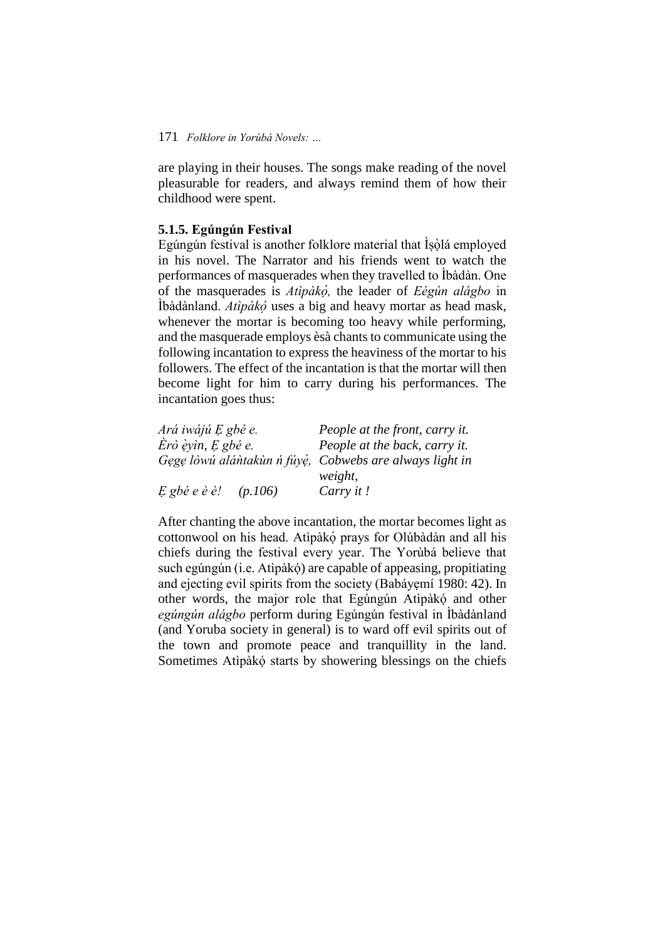are playing in their houses. The songs make reading of the novel pleasurable for readers, and always remind them of how their childhood were spent.

### **5.1.5. Egúngún Festival**

Egúngún festival is another folklore material that Íṣòlá employed in his novel. The Narrator and his friends went to watch the performances of masquerades when they travelled to Ìbàdàn. One of the masquerades is *Atìpàko ,̣* the leader of *Eégún alágbo* in Ìbàdànland. *Atìpàko ̣* uses a big and heavy mortar as head mask, whenever the mortar is becoming too heavy while performing, and the masquerade employs èsà chants to communicate using the following incantation to express the heaviness of the mortar to his followers. The effect of the incantation is that the mortar will then become light for him to carry during his performances. The incantation goes thus:

| Ará iwájú E gbé e.        | People at the front, carry it.                          |
|---------------------------|---------------------------------------------------------|
| Èrò èyìn, E gbé e.        | People at the back, carry it.                           |
|                           | Gege lòwú alántakun n fúyé, Cobwebs are always light in |
|                           | weight,                                                 |
| $E$ gbé e è è!<br>(p.106) | Carry it!                                               |

After chanting the above incantation, the mortar becomes light as cottonwool on his head. Atìpàkọ́ ̣prays for Olúbàdàn and all his chiefs during the festival every year. The Yorùbá believe that such egúngún (*i.e.* Atìpàkó) are capable of appeasing, propitiating and ejecting evil spirits from the society (Babáyẹmí 1980: 42). In other words, the major role that Egúngún Atìpàkó and other *egúngún alágbo* perform during Egúngún festival in Ìbàdànland (and Yoruba society in general) is to ward off evil spirits out of the town and promote peace and tranquillity in the land. Sometimes Atìpàkó starts by showering blessings on the chiefs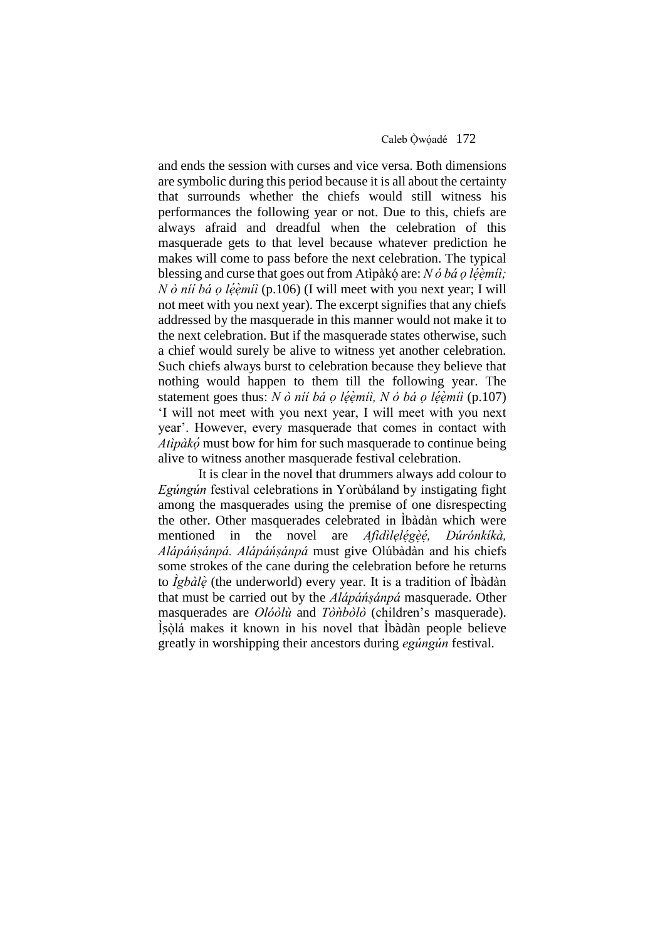and ends the session with curses and vice versa. Both dimensions are symbolic during this period because it is all about the certainty that surrounds whether the chiefs would still witness his performances the following year or not. Due to this, chiefs are always afraid and dreadful when the celebration of this masquerade gets to that level because whatever prediction he makes will come to pass before the next celebration. The typical blessing and curse that goes out from Atìpàkó are: *N ó bá ọ léèmiì; N ò níí bá ọ léèmíì* (p.106) (I will meet with you next year; I will not meet with you next year). The excerpt signifies that any chiefs addressed by the masquerade in this manner would not make it to the next celebration. But if the masquerade states otherwise, such a chief would surely be alive to witness yet another celebration. Such chiefs always burst to celebration because they believe that nothing would happen to them till the following year. The statement goes thus: *N ò níí bá ọ le ẹ ṃ íì, N ó bá ọ le ẹ ṃ íì* (p.107) 'I will not meet with you next year, I will meet with you next year'. However, every masquerade that comes in contact with *Atìpàko ̣*must bow for him for such masquerade to continue being alive to witness another masquerade festival celebration.

It is clear in the novel that drummers always add colour to *Egúngún* festival celebrations in Yorùbáland by instigating fight among the masquerades using the premise of one disrespecting the other. Other masquerades celebrated in Ìbàdàn which were mentioned in the novel are *Afidìlelégèé*,  *,̣ Dúrónkíkà, Alápáńṣánpá. Alápáńṣánpá* must give Olúbàdàn and his chiefs some strokes of the cane during the celebration before he returns to *Ìgbàle ̣*(the underworld) every year. It is a tradition of Ìbàdàn that must be carried out by the *Alápáńṣánpá* masquerade. Other masquerades are *Olóòlù* and *Tòǹbòlò* (children's masquerade). Isòlá makes it known in his novel that Ibàdàn people believe greatly in worshipping their ancestors during *egúngún* festival.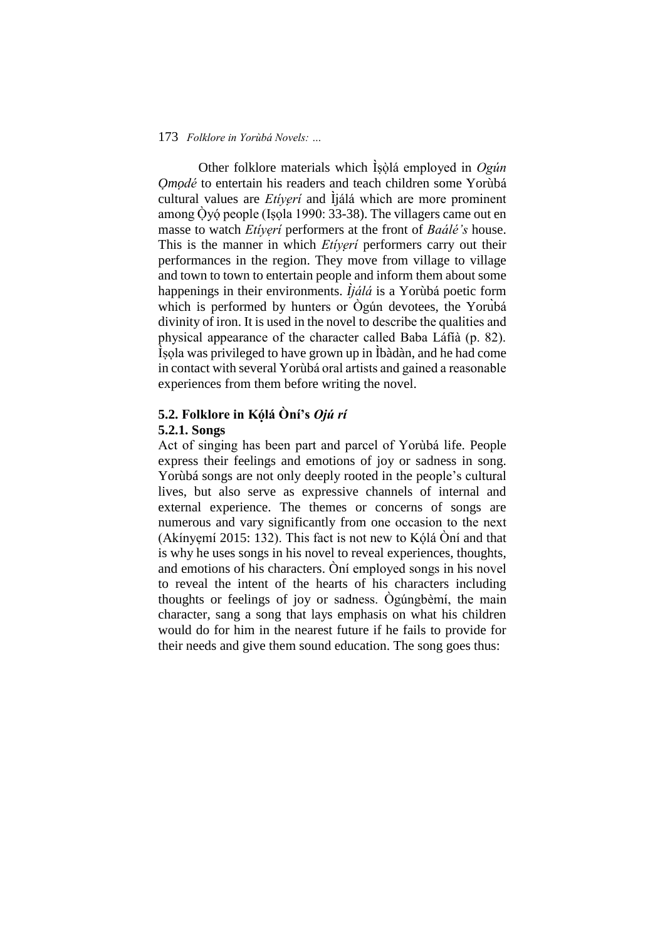Other folklore materials which Ìṣòḷá employed in *Ogún Ọmọdé* to entertain his readers and teach children some Yorùbá cultural values are *Etíyẹrí* and Ìjálá which are more prominent among Òyó people (Isola 1990: 33-38). The villagers came out en masse to watch *Etíyẹrí* performers at the front of *Baálé's* house. This is the manner in which *Etíyẹrí* performers carry out their performances in the region. They move from village to village and town to town to entertain people and inform them about some happenings in their environments. *Ìjálá* is a Yorùbá poetic form which is performed by hunters or Ògún devotees, the Yorubá divinity of iron. It is used in the novel to describe the qualities and physical appearance of the character called Baba Láfíà (p. 82). Ìṣọla was privileged to have grown up in Ìbàdàn, and he had come in contact with several Yorùbá oral artists and gained a reasonable experiences from them before writing the novel.

# **5.2. Folklore in Kóḷá Òní's** *Ojú rí* **5.2.1. Songs**

Act of singing has been part and parcel of Yorùbá life. People express their feelings and emotions of joy or sadness in song. Yorùbá songs are not only deeply rooted in the people's cultural lives, but also serve as expressive channels of internal and external experience. The themes or concerns of songs are numerous and vary significantly from one occasion to the next (Akínyemí 2015: 132). This fact is not new to Kólá Òní and that is why he uses songs in his novel to reveal experiences, thoughts, and emotions of his characters. Òní employed songs in his novel to reveal the intent of the hearts of his characters including thoughts or feelings of joy or sadness. Ògúngbèmí, the main character, sang a song that lays emphasis on what his children would do for him in the nearest future if he fails to provide for their needs and give them sound education. The song goes thus: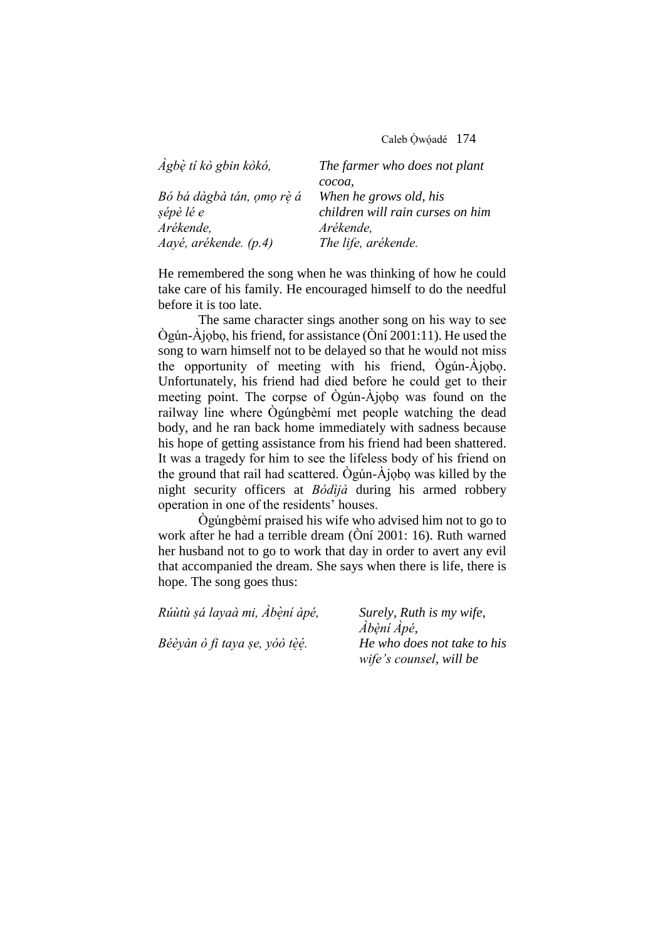Caleb Òẉ óạ dé174

| Agbè ti kò gbin kòkó,     | The farmer who does not plant    |
|---------------------------|----------------------------------|
|                           | cocoa,                           |
| Bó bá dàgbà tán, ọmọ rè á | When he grows old, his           |
| sépè lé e                 | children will rain curses on him |
| Arékende,                 | Arékende,                        |
| Aayé, arékende. (p.4)     | The life, arékende.              |

He remembered the song when he was thinking of how he could take care of his family. He encouraged himself to do the needful before it is too late.

The same character sings another song on his way to see Ògún-Àjọbọ, his friend, for assistance (Òní 2001:11). He used the song to warn himself not to be delayed so that he would not miss the opportunity of meeting with his friend, Ògún-Àjọbọ. Unfortunately, his friend had died before he could get to their meeting point. The corpse of Ògún-Àjọbọ was found on the railway line where Ògúngbèmí met people watching the dead body, and he ran back home immediately with sadness because his hope of getting assistance from his friend had been shattered. It was a tragedy for him to see the lifeless body of his friend on the ground that rail had scattered. Ògún-Àjọbọ was killed by the night security officers at *Bódìjà* during his armed robbery operation in one of the residents' houses.

Ògúngbèmí praised his wife who advised him not to go to work after he had a terrible dream (Òní 2001: 16). Ruth warned her husband not to go to work that day in order to avert any evil that accompanied the dream. She says when there is life, there is hope. The song goes thus:

| Rúùtù sá layaà mi, Àbèní àpé, | Surely, Ruth is my wife,    |
|-------------------------------|-----------------------------|
|                               | Àbèni Àpé,                  |
| Béèyàn ò fi taya se, yóò tèé. | He who does not take to his |
|                               | wife's counsel, will be     |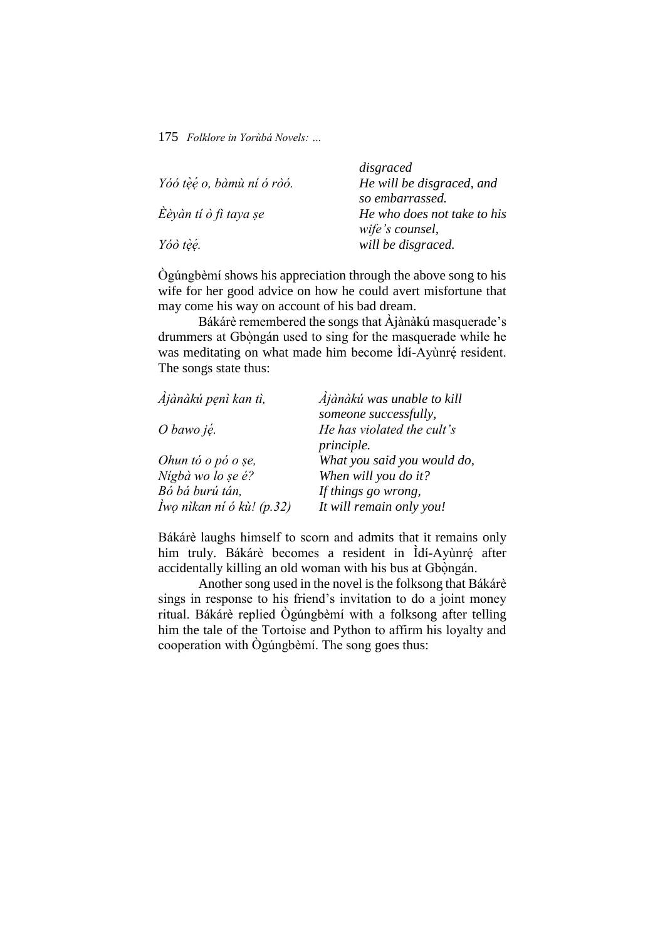| disgraced                   |
|-----------------------------|
| He will be disgraced, and   |
| so embarrassed.             |
| He who does not take to his |
| wife's counsel,             |
| will be disgraced.          |
|                             |

Ògúngbèmí shows his appreciation through the above song to his wife for her good advice on how he could avert misfortune that may come his way on account of his bad dream.

Bákárè remembered the songs that Àjànàkú masquerade's drummers at Gbongán used to sing for the masquerade while he was meditating on what made him become Idí-Ayùnré resident. The songs state thus:

| Ajànàkú penì kan tì,      | Ajànàkú was unable to kill  |
|---------------------------|-----------------------------|
|                           | someone successfully,       |
| O bawo ję.                | He has violated the cult's  |
|                           | <i>principle.</i>           |
| Ohun tó o pó o se,        | What you said you would do, |
| Nígbà wo lo se é?         | When will you do it?        |
| Bó bá burú tán,           | If things go wrong,         |
| Iwo nikan ni ó kù! (p.32) | It will remain only you!    |

Bákárè laughs himself to scorn and admits that it remains only him truly. Bákárè becomes a resident in Idí-Ayùnré after accidentally killing an old woman with his bus at Gbongán.

Another song used in the novel is the folksong that Bákárè sings in response to his friend's invitation to do a joint money ritual. Bákárè replied Ògúngbèmí with a folksong after telling him the tale of the Tortoise and Python to affirm his loyalty and cooperation with Ògúngbèmí. The song goes thus: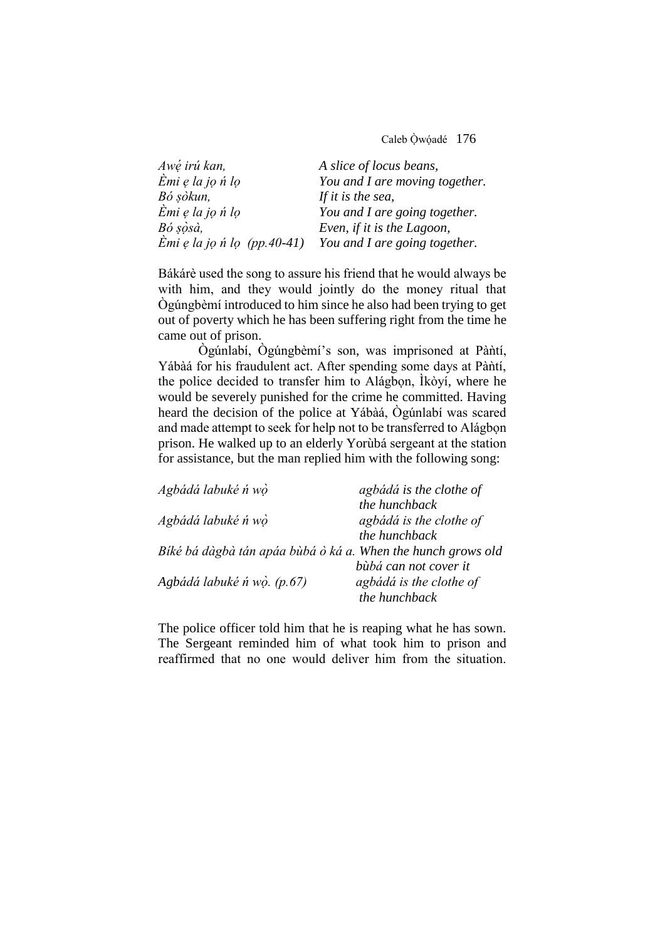Caleb Òẉ óạ dé176

| Awé irú kan,                  | A slice of locus beans,        |
|-------------------------------|--------------------------------|
| $\dot{E}$ mi e la jo ń lo     | You and I are moving together. |
| Bó sòkun,                     | If it is the sea,              |
| $\dot{E}$ mi e la jo ń lo     | You and I are going together.  |
| Bó sòsà,                      | Even, if it is the Lagoon,     |
| $Emi$ e la jo n lo (pp.40-41) | You and I are going together.  |

Bákárè used the song to assure his friend that he would always be with him, and they would jointly do the money ritual that Ògúngbèmí introduced to him since he also had been trying to get out of poverty which he has been suffering right from the time he came out of prison.

Ògúnlabí, Ògúngbèmí's son, was imprisoned at Pàntí, Yábàá for his fraudulent act. After spending some days at Pàñtí, the police decided to transfer him to Alágbọn, Ìkòyí, where he would be severely punished for the crime he committed. Having heard the decision of the police at Yábàá, Ògúnlabí was scared and made attempt to seek for help not to be transferred to Alágbọn prison. He walked up to an elderly Yorùbá sergeant at the station for assistance, but the man replied him with the following song:

| agbádá is the clothe of                                      |
|--------------------------------------------------------------|
| the hunchback                                                |
| agbádá is the clothe of                                      |
| the hunchback                                                |
| Bíké bá dàgbà tán apáa bùbá ò ká a. When the hunch grows old |
| bùbá can not cover it                                        |
| agbádá is the clothe of                                      |
| the hunchback                                                |
|                                                              |

The police officer told him that he is reaping what he has sown. The Sergeant reminded him of what took him to prison and reaffirmed that no one would deliver him from the situation.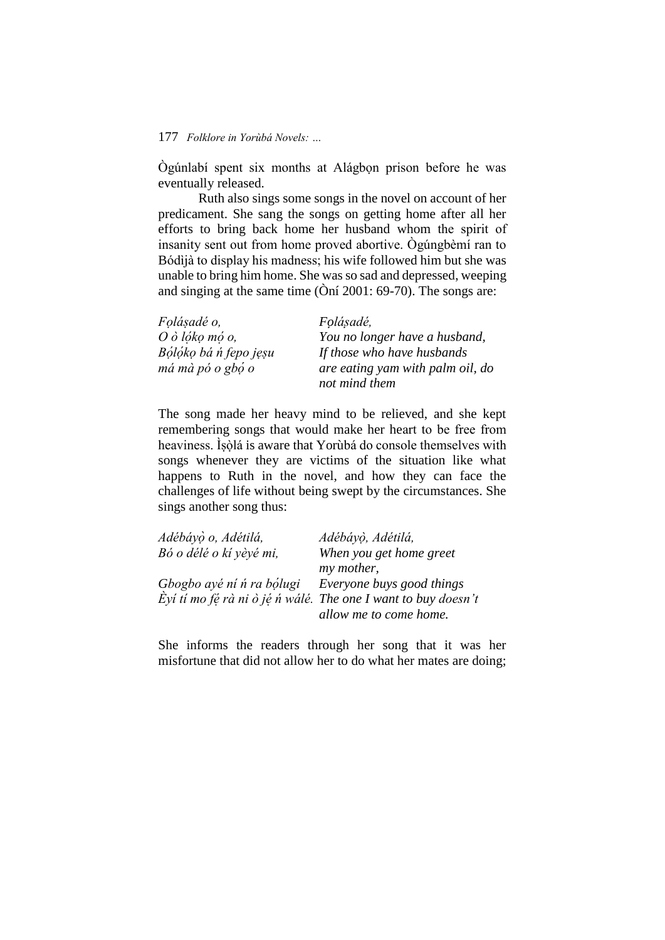Ògúnlabí spent six months at Alágbọn prison before he was eventually released.

Ruth also sings some songs in the novel on account of her predicament. She sang the songs on getting home after all her efforts to bring back home her husband whom the spirit of insanity sent out from home proved abortive. Ògúngbèmí ran to Bódìjà to display his madness; his wife followed him but she was unable to bring him home. She was so sad and depressed, weeping and singing at the same time (Òní 2001: 69-70). The songs are:

| <i>Folásadé o,</i>         | Folásadé,                        |
|----------------------------|----------------------------------|
| $O \dot{o}$ lóko mó o,     | You no longer have a husband,    |
| Bólóko bá ń fepo jęsu      | If those who have husbands       |
| $m\acute{a}$ mà pó o gbó o | are eating yam with palm oil, do |
|                            | not mind them                    |

The song made her heavy mind to be relieved, and she kept remembering songs that would make her heart to be free from heaviness. Ìsòlá is aware that Yorùbá do console themselves with songs whenever they are victims of the situation like what happens to Ruth in the novel, and how they can face the challenges of life without being swept by the circumstances. She sings another song thus:

| Adébáyò o, Adétilá,       | Adébáyò, Adétilá,                                             |
|---------------------------|---------------------------------------------------------------|
| Bó o délé o kí yèyé mi,   | When you get home greet                                       |
|                           | my mother,                                                    |
| Gbogbo ayé ni n ra bólugi | Everyone buys good things                                     |
|                           | Eyi ti mo fé rà ni ò jé n wálé. The one I want to buy doesn't |
|                           | allow me to come home.                                        |

She informs the readers through her song that it was her misfortune that did not allow her to do what her mates are doing;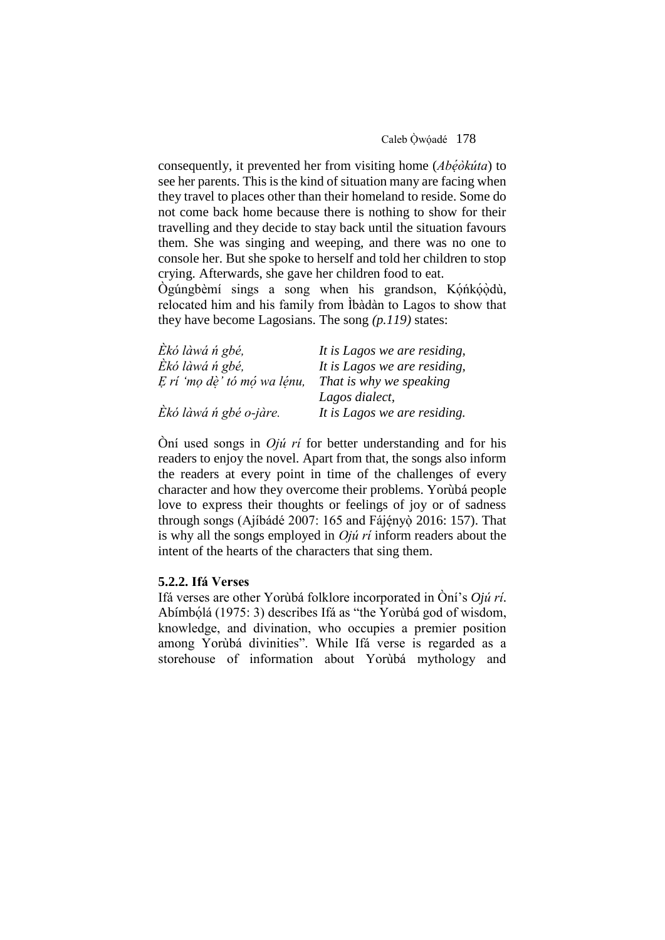consequently, it prevented her from visiting home (*Abéòkúta*) to see her parents. This is the kind of situation many are facing when they travel to places other than their homeland to reside. Some do not come back home because there is nothing to show for their travelling and they decide to stay back until the situation favours them. She was singing and weeping, and there was no one to console her. But she spoke to herself and told her children to stop crying. Afterwards, she gave her children food to eat.

Ogúngbèmí sings a song when his grandson, Kọ́ńko଼odù, relocated him and his family from Ìbàdàn to Lagos to show that they have become Lagosians. The song *(p.119)* states:

| Ekó làwá n gbé,             | It is Lagos we are residing, |
|-----------------------------|------------------------------|
| Èkó làwá n gbé,             | It is Lagos we are residing, |
| E rí 'mo dè' tó mó wa lénu, | That is why we speaking      |
|                             | Lagos dialect,               |
| Ekó làwá n gbé o-jàre.      | It is Lagos we are residing. |

Òní used songs in *Ojú rí* for better understanding and for his readers to enjoy the novel. Apart from that, the songs also inform the readers at every point in time of the challenges of every character and how they overcome their problems. Yorùbá people love to express their thoughts or feelings of joy or of sadness through songs (Ajíbádé 2007: 165 and Fájényò 2016: 157). That is why all the songs employed in *Ojú rí* inform readers about the intent of the hearts of the characters that sing them.

### **5.2.2. Ifá Verses**

Ifá verses are other Yorùbá folklore incorporated in Òní's *Ojú rí*. Abímbọlá (1975: 3) describes Ifá as "the Yorùbá god of wisdom, knowledge, and divination, who occupies a premier position among Yorùbá divinities". While Ifá verse is regarded as a storehouse of information about Yorùbá mythology and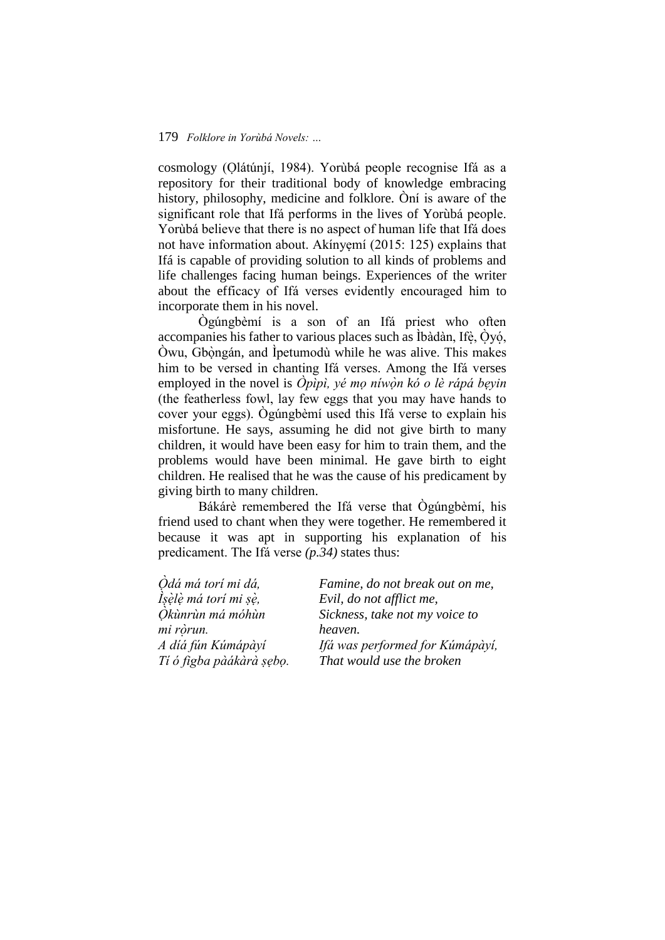cosmology (Ọlátúnjí, 1984). Yorùbá people recognise Ifá as a repository for their traditional body of knowledge embracing history, philosophy, medicine and folklore. Òní is aware of the significant role that Ifá performs in the lives of Yorùbá people. Yorùbá believe that there is no aspect of human life that Ifá does not have information about. Akínyẹmí (2015: 125) explains that Ifá is capable of providing solution to all kinds of problems and life challenges facing human beings. Experiences of the writer about the efficacy of Ifá verses evidently encouraged him to incorporate them in his novel.

Ògúngbèmí is a son of an Ifá priest who often accompanies his father to various places such as Íbàdàn, Ifè, Oyó,  $\dot{O}$ wu, Gb $\dot{\Omega}$  ongán, and Ipetumodù while he was alive. This makes him to be versed in chanting Ifá verses. Among the Ifá verses employed in the novel is *Òpìpì*, yé mọ níwòn kó o lè rápá beyin (the featherless fowl, lay few eggs that you may have hands to cover your eggs). Ògúngbèmí used this Ifá verse to explain his misfortune. He says, assuming he did not give birth to many children, it would have been easy for him to train them, and the problems would have been minimal. He gave birth to eight children. He realised that he was the cause of his predicament by giving birth to many children.

Bákárè remembered the Ifá verse that Ògúngbèmí, his friend used to chant when they were together. He remembered it because it was apt in supporting his explanation of his predicament. The Ifá verse *(p.34)* states thus:

| Odá má torí mi dá,       | Famine, do not break out on me, |
|--------------------------|---------------------------------|
| Ísèlè má torí mi sè,     | Evil, do not afflict me,        |
| Òkùnrùn má móhùn         | Sickness, take not my voice to  |
| mi ròrun.                | heaven.                         |
| A díá fún Kúmápàyí       | Ifá was performed for Kúmápàyí, |
| Tí ó figba pàákàrà sębo. | That would use the broken       |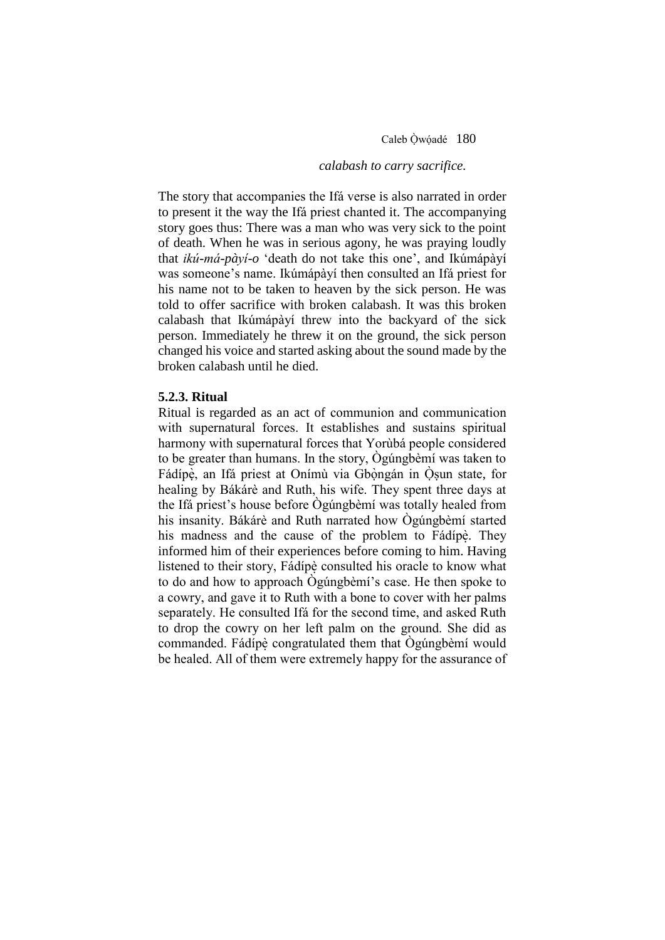Caleb Òwóadé 180

# *calabash to carry sacrifice.*

The story that accompanies the Ifá verse is also narrated in order to present it the way the Ifá priest chanted it. The accompanying story goes thus: There was a man who was very sick to the point of death. When he was in serious agony, he was praying loudly that *ikú-má-pàyí-o* 'death do not take this one', and Ikúmápàyí was someone's name. Ikúmápàyí then consulted an Ifá priest for his name not to be taken to heaven by the sick person. He was told to offer sacrifice with broken calabash. It was this broken calabash that Ikúmápàyí threw into the backyard of the sick person. Immediately he threw it on the ground, the sick person changed his voice and started asking about the sound made by the broken calabash until he died.

# **5.2.3. Ritual**

Ritual is regarded as an act of communion and communication with supernatural forces. It establishes and sustains spiritual harmony with supernatural forces that Yorùbá people considered to be greater than humans. In the story, Ògúngbèmí was taken to Fádípè, an Ifá priest at Onímù via Gbòngán in Osun state, for healing by Bákárè and Ruth, his wife. They spent three days at the Ifá priest's house before Ògúngbèmí was totally healed from his insanity. Bákárè and Ruth narrated how Ògúngbèmí started his madness and the cause of the problem to Fádípè. They informed him of their experiences before coming to him. Having listened to their story, Fádípè consulted his oracle to know what to do and how to approach Ògúngbèmí's case. He then spoke to a cowry, and gave it to Ruth with a bone to cover with her palms separately. He consulted Ifá for the second time, and asked Ruth to drop the cowry on her left palm on the ground. She did as commanded. Fádípe ̣congratulated them that Ògúngbèmí would be healed. All of them were extremely happy for the assurance of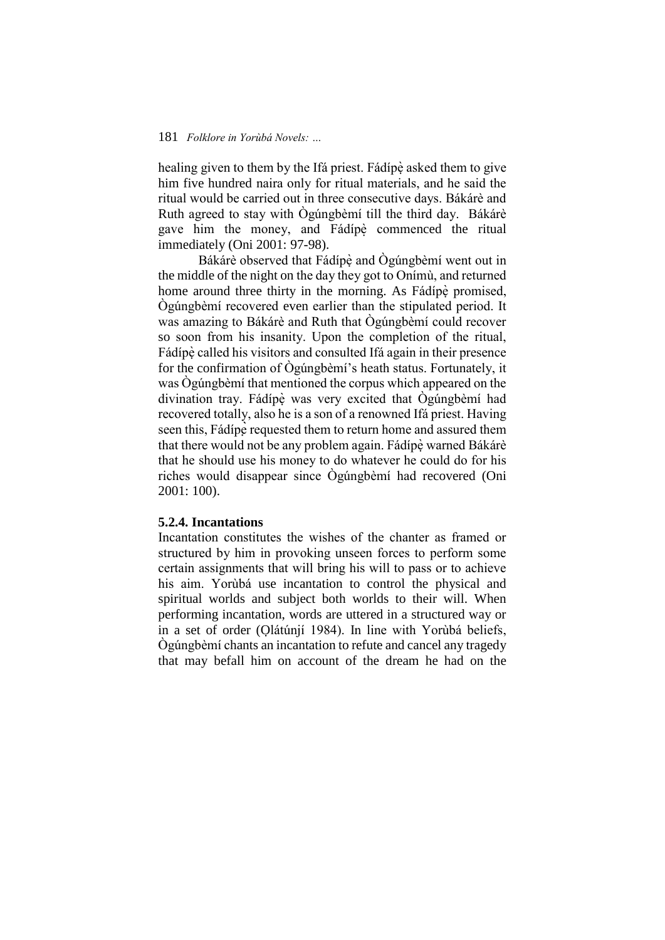healing given to them by the Ifá priest. Fádípè asked them to give him five hundred naira only for ritual materials, and he said the ritual would be carried out in three consecutive days. Bákárè and Ruth agreed to stay with Ògúngbèmí till the third day. Bákárè gave him the money, and Fádípè commenced the ritual immediately (Oni 2001: 97-98).

Bákárè observed that Fádípè and Ógúngbèmí went out in the middle of the night on the day they got to Onímù, and returned home around three thirty in the morning. As Fádípe promised, Ògúngbèmí recovered even earlier than the stipulated period. It was amazing to Bákárè and Ruth that Ògúngbèmí could recover so soon from his insanity. Upon the completion of the ritual, Fádípè called his visitors and consulted Ifá again in their presence for the confirmation of Ògúngbèmí's heath status. Fortunately, it was Ògúngbèmí that mentioned the corpus which appeared on the divination tray. Fádípe ̣ was very excited that Ògúngbèmí had recovered totally, also he is a son of a renowned Ifá priest. Having seen this, Fádípe requested them to return home and assured them that there would not be any problem again. Fádípè warned Bákárè that he should use his money to do whatever he could do for his riches would disappear since Ògúngbèmí had recovered (Oni 2001: 100).

### **5.2.4. Incantations**

Incantation constitutes the wishes of the chanter as framed or structured by him in provoking unseen forces to perform some certain assignments that will bring his will to pass or to achieve his aim. Yorùbá use incantation to control the physical and spiritual worlds and subject both worlds to their will. When performing incantation, words are uttered in a structured way or in a set of order (Olátúnjí 1984). In line with Yorùbá beliefs, Ògúngbèmí chants an incantation to refute and cancel any tragedy that may befall him on account of the dream he had on the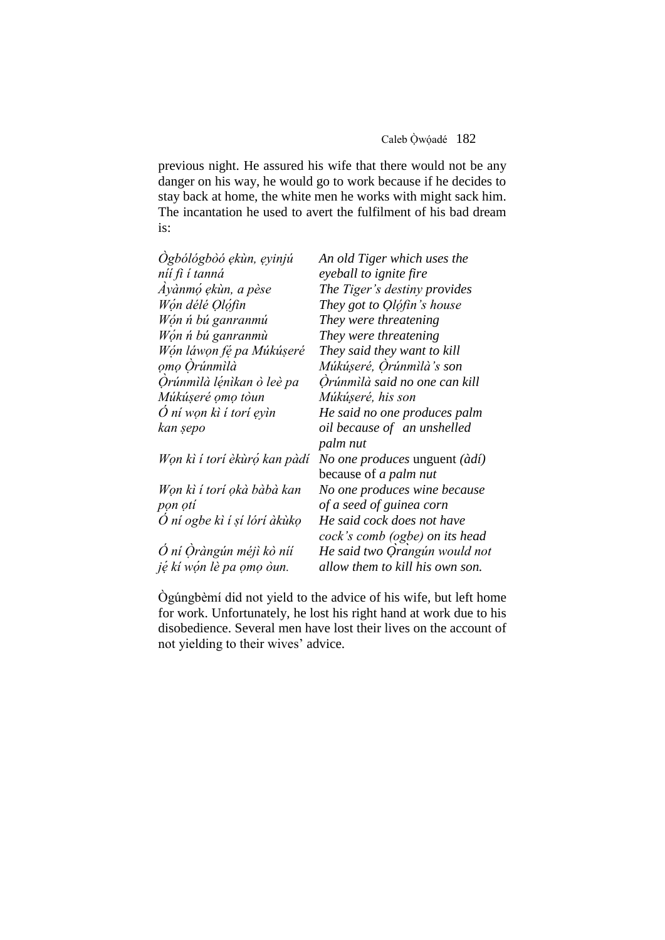previous night. He assured his wife that there would not be any danger on his way, he would go to work because if he decides to stay back at home, the white men he works with might sack him. The incantation he used to avert the fulfilment of his bad dream is:

| Ogbólógbòó ekùn, eyinjú      | An old Tiger which uses the     |
|------------------------------|---------------------------------|
| níí fi í tanná               | eyeball to ignite fire          |
| Ayànmó ękùn, a pèse          | The Tiger's destiny provides    |
| Wón délé Olófin              | They got to Olófin's house      |
| Wón ń bú ganranmú            | They were threatening           |
| Wón ń bú ganranmù            | They were threatening           |
| Wón láwon fé pa Múkúseré     | They said they want to kill     |
| omo Orúnmilà                 | Múkúseré, Orúnmilà's son        |
| Örúnmilà lénikan ò leè pa    | Orúnmìlà said no one can kill   |
| Múkúseré omo tòun            | Múkúseré, his son               |
| O ní wọn kì í torí ẹyìn      | He said no one produces palm    |
| kan şepo                     | oil because of an unshelled     |
|                              | palm nut                        |
| Won kì í torí èkùró kan pàdí | No one produces unguent (àdí)   |
|                              | because of a palm nut           |
| Won kì í torí okà bàbà kan   | No one produces wine because    |
| pon otí                      | of a seed of guinea corn        |
| Ó ní ogbe kì í sí lórí àkùkọ | He said cock does not have      |
|                              | cock's comb (ogbe) on its head  |
| Ó ní Öràngún méjì kò níí     | He said two Orangún would not   |
| jệ kí wón lè pa omo òun.     | allow them to kill his own son. |

Ògúngbèmí did not yield to the advice of his wife, but left home for work. Unfortunately, he lost his right hand at work due to his disobedience. Several men have lost their lives on the account of not yielding to their wives' advice.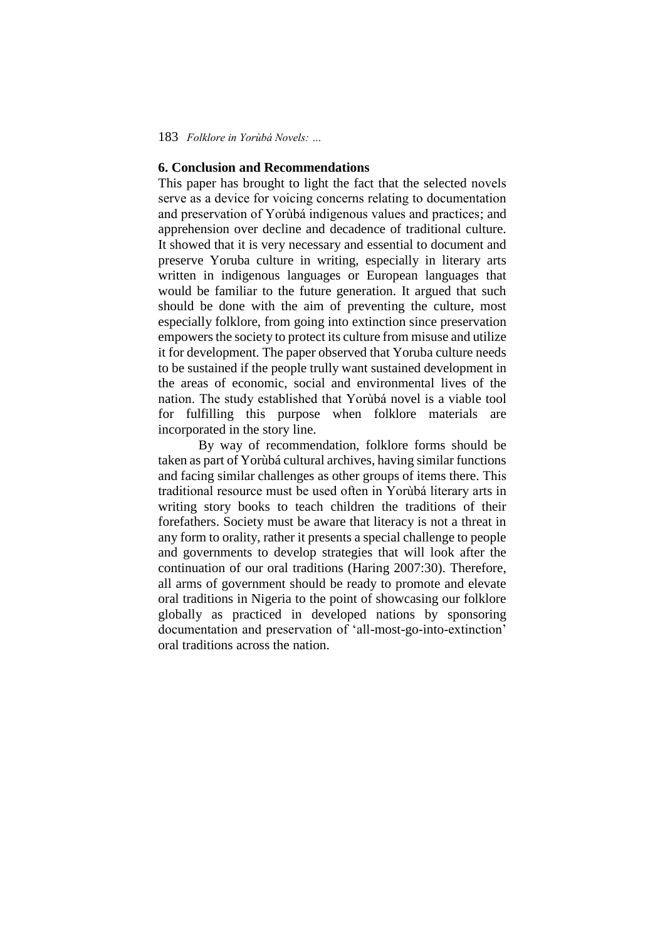# **6. Conclusion and Recommendations**

This paper has brought to light the fact that the selected novels serve as a device for voicing concerns relating to documentation and preservation of Yorùbá indigenous values and practices; and apprehension over decline and decadence of traditional culture. It showed that it is very necessary and essential to document and preserve Yoruba culture in writing, especially in literary arts written in indigenous languages or European languages that would be familiar to the future generation. It argued that such should be done with the aim of preventing the culture, most especially folklore, from going into extinction since preservation empowers the society to protect its culture from misuse and utilize it for development. The paper observed that Yoruba culture needs to be sustained if the people trully want sustained development in the areas of economic, social and environmental lives of the nation. The study established that Yorùbá novel is a viable tool for fulfilling this purpose when folklore materials are incorporated in the story line.

By way of recommendation, folklore forms should be taken as part of Yorùbá cultural archives, having similar functions and facing similar challenges as other groups of items there. This traditional resource must be used often in Yorùbá literary arts in writing story books to teach children the traditions of their forefathers. Society must be aware that literacy is not a threat in any form to orality, rather it presents a special challenge to people and governments to develop strategies that will look after the continuation of our oral traditions (Haring 2007:30). Therefore, all arms of government should be ready to promote and elevate oral traditions in Nigeria to the point of showcasing our folklore globally as practiced in developed nations by sponsoring documentation and preservation of 'all-most-go-into-extinction' oral traditions across the nation.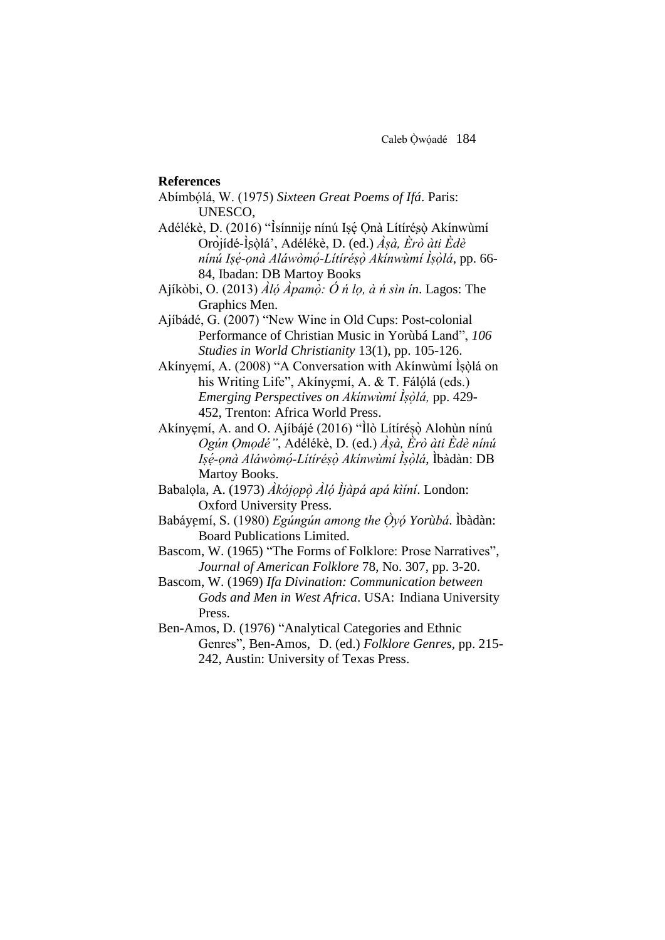### **References**

- Abímbọ́lá, W. (1975) *Sixteen Great Poems of Ifá*. Paris: UNESCO,
- Adélékè, D. (2016) "Isínnije nínú Isé Onà Lítírésò Akínwùmí Oròjídé-Ìṣòlạ́ ', Adélékè, D. (ed.) *Àṣà, Èrò àti Èdè nínú Iṣe -̣ọnà Aláwòmo -̣ Lítíréṣo ̣Akínwùmí Ìṣo ḷ á*, pp. 66- 84, Ibadan: DB Martoy Books
- Ajíkòbi, O. (2013) *Àlọ́Àpamò: Ó ń lọ, à ń sìn í ̣ n*. Lagos: The Graphics Men.
- Ajíbádé, G. (2007) "New Wine in Old Cups: Post-colonial Performance of Christian Music in Yorùbá Land", *106 Studies in World Christianity* 13(1), pp. 105-126.
- Akínyẹmí, A. (2008) "A Conversation with Akínwùmí Ìsòlá on his Writing Life", Akínyemí, A. & T. Fálólá (eds.) *Emerging Perspectives on Akínwùmí Ìṣo ḷ á,* pp. 429- 452, Trenton: Africa World Press.
- Akínyẹmí, A. and O. Ajíbájé (2016) "Îlò Lítíréṣọ̀ Alohụ̀n nínú *Ogún Ọmọdé"*, Adélékè, D. (ed.) *Àṣà, Èrò àti Èdè nínú Iṣe -̣ọnà Aláwòmo -̣ Lítíréṣo ̣Akínwùmí Ìṣo ḷ á*, Ìbàdàn: DB Martoy Books.
- Babalọla, A. (1973) *Àkójọpọ̀ ̣Àlọ́Ìjàpá apá kìíní*. London: Oxford University Press.
- Babáyẹmí, S. (1980) *Egúngún among the Ọ̀yọ́Yorùbá*. Ìbàdàn: Board Publications Limited.
- Bascom, W. (1965) "The Forms of Folklore: Prose Narratives", *Journal of American Folklore* 78, No. 307, pp. 3-20.
- Bascom, W. (1969) *Ifa Divination: Communication between Gods and Men in West Africa*. USA: Indiana University Press.
- Ben-Amos, D. (1976) "Analytical Categories and Ethnic Genres", Ben-Amos, D. (ed.) *Folklore Genres,* pp. 215- 242, Austin: University of Texas Press.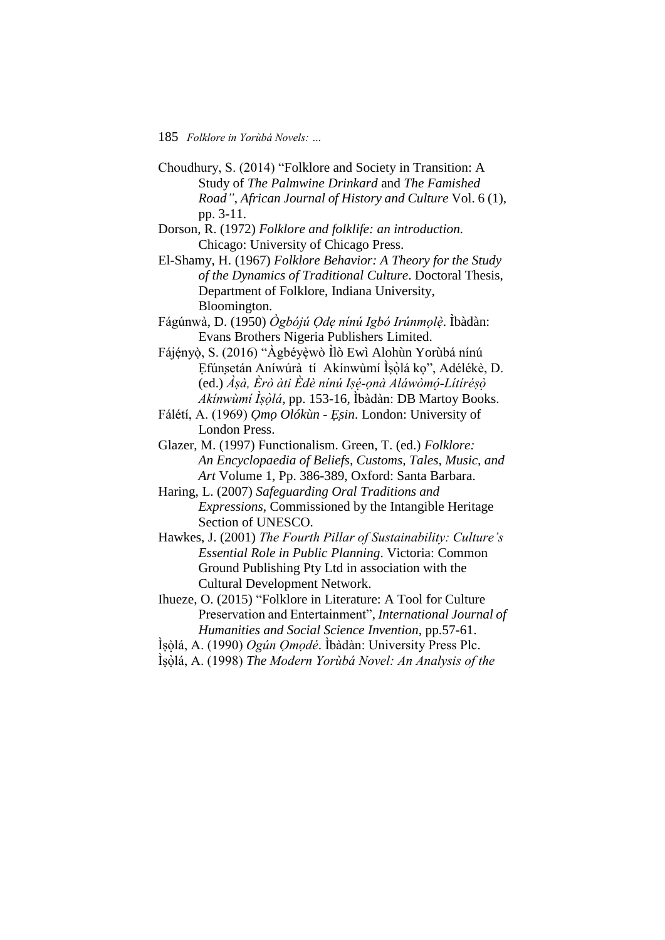- Choudhury, S. (2014) "Folklore and Society in Transition: A Study of *The Palmwine Drinkard* and *The Famished Road"*, *African Journal of History and Culture* Vol. 6 (1), pp. 3-11.
- Dorson, R. (1972) *Folklore and folklife: an introduction.* Chicago: University of Chicago Press.
- El-Shamy, H. (1967) *Folklore Behavior: A Theory for the Study of the Dynamics of Traditional Culture*. Doctoral Thesis, Department of Folklore, Indiana University, Bloomington.
- Fágúnwà, D. (1950) *Ògbójú Ọdẹ nínú Igbó Irúnmọlè*. I*̣* ̀bàdàn: Evans Brothers Nigeria Publishers Limited.
- Fájényò, S. (2016) "Àgbéyèwò Ilò Ewì Alohùn Yorùbá nínú Efúnsetán Aníwúrà tí Akínwùmí Ìṣòlá kọ", Adélékè, D. (ed.) *Àṣà, Èrò àti Èdè nínú Iṣe -̣ọnà Aláwòmo -̣ Lítíréṣo Akínwùmí Íṣòlá*, pp. 153-16, Íbàdàn: DB Martoy Books.
- Fálétí, A. (1969) *ỌmọOlókùn - Ẹṣin*. London: University of London Press.
- Glazer, M. (1997) Functionalism. Green, T. (ed.) *Folklore: An Encyclopaedia of Beliefs, Customs, Tales, Music, and Art* Volume 1, Pp. 386-389, Oxford: Santa Barbara.
- Haring, L. (2007) *Safeguarding Oral Traditions and Expressions*, Commissioned by the Intangible Heritage Section of UNESCO.
- Hawkes, J. (2001) *The Fourth Pillar of Sustainability: Culture's Essential Role in Public Planning*. Victoria: Common Ground Publishing Pty Ltd in association with the Cultural Development Network.
- Ihueze, O. (2015) "Folklore in Literature: A Tool for Culture Preservation and Entertainment", *International Journal of Humanities and Social Science Invention,* pp.57-61.
- Ìsòlá, A. (1990) Ogún Omodé. Ìbàdàn: University Press Plc.
- Ìṣo ḷá, A. (1998) *The Modern Yorùbá Novel: An Analysis of the*